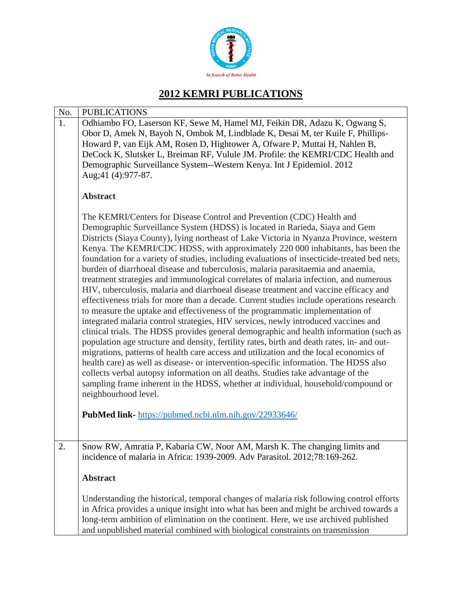

# **2012 KEMRI PUBLICATIONS**

| No. | <b>PUBLICATIONS</b>                                                                                                                                                                                                                                                                                                                                                                                                                                                                                                                                                                                                                                                                                                                                                                                                                                                                                                                                                                                                                                                                                                                                                                                                                                                                                                                                                                                                                                                                                                                               |
|-----|---------------------------------------------------------------------------------------------------------------------------------------------------------------------------------------------------------------------------------------------------------------------------------------------------------------------------------------------------------------------------------------------------------------------------------------------------------------------------------------------------------------------------------------------------------------------------------------------------------------------------------------------------------------------------------------------------------------------------------------------------------------------------------------------------------------------------------------------------------------------------------------------------------------------------------------------------------------------------------------------------------------------------------------------------------------------------------------------------------------------------------------------------------------------------------------------------------------------------------------------------------------------------------------------------------------------------------------------------------------------------------------------------------------------------------------------------------------------------------------------------------------------------------------------------|
| 1.  | Odhiambo FO, Laserson KF, Sewe M, Hamel MJ, Feikin DR, Adazu K, Ogwang S,<br>Obor D, Amek N, Bayoh N, Ombok M, Lindblade K, Desai M, ter Kuile F, Phillips-<br>Howard P, van Eijk AM, Rosen D, Hightower A, Ofware P, Muttai H, Nahlen B,<br>DeCock K, Slutsker L, Breiman RF, Vulule JM. Profile: the KEMRI/CDC Health and<br>Demographic Surveillance System--Western Kenya. Int J Epidemiol. 2012<br>Aug; 41 (4): 977-87.                                                                                                                                                                                                                                                                                                                                                                                                                                                                                                                                                                                                                                                                                                                                                                                                                                                                                                                                                                                                                                                                                                                      |
|     | <b>Abstract</b>                                                                                                                                                                                                                                                                                                                                                                                                                                                                                                                                                                                                                                                                                                                                                                                                                                                                                                                                                                                                                                                                                                                                                                                                                                                                                                                                                                                                                                                                                                                                   |
|     | The KEMRI/Centers for Disease Control and Prevention (CDC) Health and<br>Demographic Surveillance System (HDSS) is located in Rarieda, Siaya and Gem<br>Districts (Siaya County), lying northeast of Lake Victoria in Nyanza Province, western<br>Kenya. The KEMRI/CDC HDSS, with approximately 220 000 inhabitants, has been the<br>foundation for a variety of studies, including evaluations of insecticide-treated bed nets,<br>burden of diarrhoeal disease and tuberculosis, malaria parasitaemia and anaemia,<br>treatment strategies and immunological correlates of malaria infection, and numerous<br>HIV, tuberculosis, malaria and diarrhoeal disease treatment and vaccine efficacy and<br>effectiveness trials for more than a decade. Current studies include operations research<br>to measure the uptake and effectiveness of the programmatic implementation of<br>integrated malaria control strategies, HIV services, newly introduced vaccines and<br>clinical trials. The HDSS provides general demographic and health information (such as<br>population age structure and density, fertility rates, birth and death rates, in- and out-<br>migrations, patterns of health care access and utilization and the local economics of<br>health care) as well as disease- or intervention-specific information. The HDSS also<br>collects verbal autopsy information on all deaths. Studies take advantage of the<br>sampling frame inherent in the HDSS, whether at individual, household/compound or<br>neighbourhood level. |
|     | PubMed link- https://pubmed.ncbi.nlm.nih.gov/22933646/                                                                                                                                                                                                                                                                                                                                                                                                                                                                                                                                                                                                                                                                                                                                                                                                                                                                                                                                                                                                                                                                                                                                                                                                                                                                                                                                                                                                                                                                                            |
| 2.  | Snow RW, Amratia P, Kabaria CW, Noor AM, Marsh K. The changing limits and<br>incidence of malaria in Africa: 1939-2009. Adv Parasitol. 2012;78:169-262.                                                                                                                                                                                                                                                                                                                                                                                                                                                                                                                                                                                                                                                                                                                                                                                                                                                                                                                                                                                                                                                                                                                                                                                                                                                                                                                                                                                           |
|     | <b>Abstract</b>                                                                                                                                                                                                                                                                                                                                                                                                                                                                                                                                                                                                                                                                                                                                                                                                                                                                                                                                                                                                                                                                                                                                                                                                                                                                                                                                                                                                                                                                                                                                   |
|     | Understanding the historical, temporal changes of malaria risk following control efforts<br>in Africa provides a unique insight into what has been and might be archived towards a<br>long-term ambition of elimination on the continent. Here, we use archived published<br>and unpublished material combined with biological constraints on transmission                                                                                                                                                                                                                                                                                                                                                                                                                                                                                                                                                                                                                                                                                                                                                                                                                                                                                                                                                                                                                                                                                                                                                                                        |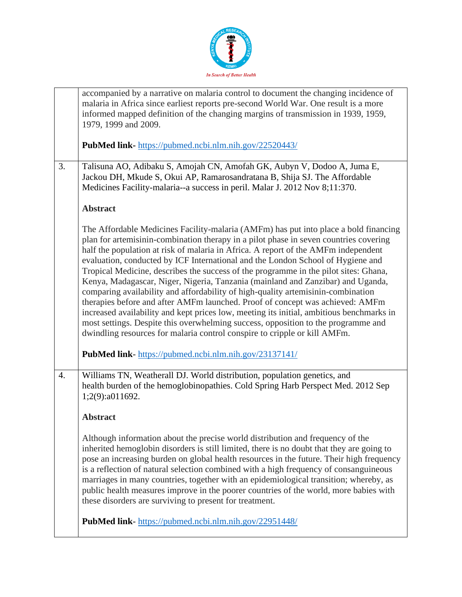

|    | accompanied by a narrative on malaria control to document the changing incidence of<br>malaria in Africa since earliest reports pre-second World War. One result is a more<br>informed mapped definition of the changing margins of transmission in 1939, 1959,<br>1979, 1999 and 2009.                                                                                                                                                                                                                                                                                                                                                                                                                                                                                                                                                                                                                                                                              |
|----|----------------------------------------------------------------------------------------------------------------------------------------------------------------------------------------------------------------------------------------------------------------------------------------------------------------------------------------------------------------------------------------------------------------------------------------------------------------------------------------------------------------------------------------------------------------------------------------------------------------------------------------------------------------------------------------------------------------------------------------------------------------------------------------------------------------------------------------------------------------------------------------------------------------------------------------------------------------------|
|    | <b>PubMed link-</b> https://pubmed.ncbi.nlm.nih.gov/22520443/                                                                                                                                                                                                                                                                                                                                                                                                                                                                                                                                                                                                                                                                                                                                                                                                                                                                                                        |
| 3. | Talisuna AO, Adibaku S, Amojah CN, Amofah GK, Aubyn V, Dodoo A, Juma E,<br>Jackou DH, Mkude S, Okui AP, Ramarosandratana B, Shija SJ. The Affordable<br>Medicines Facility-malaria--a success in peril. Malar J. 2012 Nov 8;11:370.                                                                                                                                                                                                                                                                                                                                                                                                                                                                                                                                                                                                                                                                                                                                  |
|    | <b>Abstract</b>                                                                                                                                                                                                                                                                                                                                                                                                                                                                                                                                                                                                                                                                                                                                                                                                                                                                                                                                                      |
|    | The Affordable Medicines Facility-malaria (AMFm) has put into place a bold financing<br>plan for artemisinin-combination therapy in a pilot phase in seven countries covering<br>half the population at risk of malaria in Africa. A report of the AMFm independent<br>evaluation, conducted by ICF International and the London School of Hygiene and<br>Tropical Medicine, describes the success of the programme in the pilot sites: Ghana,<br>Kenya, Madagascar, Niger, Nigeria, Tanzania (mainland and Zanzibar) and Uganda,<br>comparing availability and affordability of high-quality artemisinin-combination<br>therapies before and after AMFm launched. Proof of concept was achieved: AMFm<br>increased availability and kept prices low, meeting its initial, ambitious benchmarks in<br>most settings. Despite this overwhelming success, opposition to the programme and<br>dwindling resources for malaria control conspire to cripple or kill AMFm. |
|    | PubMed link-https://pubmed.ncbi.nlm.nih.gov/23137141/                                                                                                                                                                                                                                                                                                                                                                                                                                                                                                                                                                                                                                                                                                                                                                                                                                                                                                                |
| 4. | Williams TN, Weatherall DJ. World distribution, population genetics, and<br>health burden of the hemoglobinopathies. Cold Spring Harb Perspect Med. 2012 Sep<br>1;2(9):a011692.                                                                                                                                                                                                                                                                                                                                                                                                                                                                                                                                                                                                                                                                                                                                                                                      |
|    | <b>Abstract</b>                                                                                                                                                                                                                                                                                                                                                                                                                                                                                                                                                                                                                                                                                                                                                                                                                                                                                                                                                      |
|    | Although information about the precise world distribution and frequency of the<br>inherited hemoglobin disorders is still limited, there is no doubt that they are going to<br>pose an increasing burden on global health resources in the future. Their high frequency<br>is a reflection of natural selection combined with a high frequency of consanguineous<br>marriages in many countries, together with an epidemiological transition; whereby, as<br>public health measures improve in the poorer countries of the world, more babies with<br>these disorders are surviving to present for treatment.                                                                                                                                                                                                                                                                                                                                                        |
|    | PubMed link-https://pubmed.ncbi.nlm.nih.gov/22951448/                                                                                                                                                                                                                                                                                                                                                                                                                                                                                                                                                                                                                                                                                                                                                                                                                                                                                                                |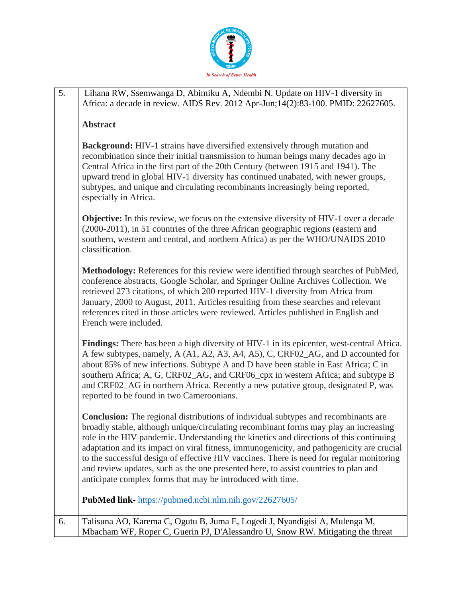

5. Lihana RW, Ssemwanga D, Abimiku A, Ndembi N. Update on HIV-1 diversity in Africa: a decade in review. AIDS Rev. 2012 Apr-Jun;14(2):83-100. PMID: 22627605. **Abstract Background:** HIV-1 strains have diversified extensively through mutation and recombination since their initial transmission to human beings many decades ago in Central Africa in the first part of the 20th Century (between 1915 and 1941). The upward trend in global HIV-1 diversity has continued unabated, with newer groups, subtypes, and unique and circulating recombinants increasingly being reported, especially in Africa. **Objective:** In this review, we focus on the extensive diversity of HIV-1 over a decade (2000-2011), in 51 countries of the three African geographic regions (eastern and southern, western and central, and northern Africa) as per the WHO/UNAIDS 2010 classification. **Methodology:** References for this review were identified through searches of PubMed, conference abstracts, Google Scholar, and Springer Online Archives Collection. We retrieved 273 citations, of which 200 reported HIV-1 diversity from Africa from January, 2000 to August, 2011. Articles resulting from these searches and relevant references cited in those articles were reviewed. Articles published in English and French were included. **Findings:** There has been a high diversity of HIV-1 in its epicenter, west-central Africa. A few subtypes, namely, A (A1, A2, A3, A4, A5), C, CRF02\_AG, and D accounted for about 85% of new infections. Subtype A and D have been stable in East Africa; C in southern Africa; A, G, CRF02, AG, and CRF06 cpx in western Africa; and subtype B and CRF02\_AG in northern Africa. Recently a new putative group, designated P, was reported to be found in two Cameroonians. **Conclusion:** The regional distributions of individual subtypes and recombinants are broadly stable, although unique/circulating recombinant forms may play an increasing role in the HIV pandemic. Understanding the kinetics and directions of this continuing adaptation and its impact on viral fitness, immunogenicity, and pathogenicity are crucial to the successful design of effective HIV vaccines. There is need for regular monitoring and review updates, such as the one presented here, to assist countries to plan and anticipate complex forms that may be introduced with time. **PubMed link**- <https://pubmed.ncbi.nlm.nih.gov/22627605/> 6. Talisuna AO, Karema C, Ogutu B, Juma E, Logedi J, Nyandigisi A, Mulenga M, Mbacham WF, Roper C, Guerin PJ, D'Alessandro U, Snow RW. Mitigating the threat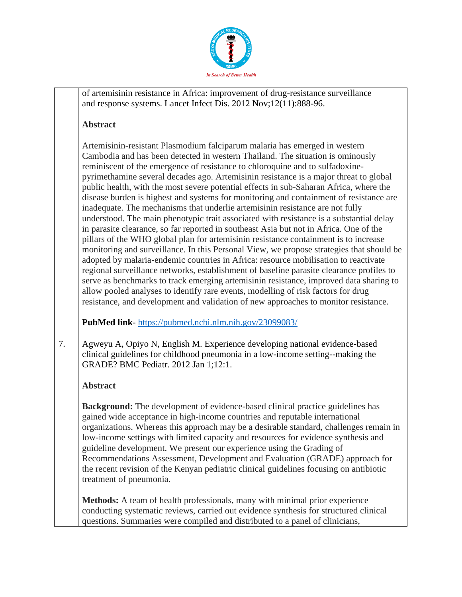

of artemisinin resistance in Africa: improvement of drug-resistance surveillance and response systems. Lancet Infect Dis. 2012 Nov;12(11):888-96.

### **Abstract**

Artemisinin-resistant Plasmodium falciparum malaria has emerged in western Cambodia and has been detected in western Thailand. The situation is ominously reminiscent of the emergence of resistance to chloroquine and to sulfadoxinepyrimethamine several decades ago. Artemisinin resistance is a major threat to global public health, with the most severe potential effects in sub-Saharan Africa, where the disease burden is highest and systems for monitoring and containment of resistance are inadequate. The mechanisms that underlie artemisinin resistance are not fully understood. The main phenotypic trait associated with resistance is a substantial delay in parasite clearance, so far reported in southeast Asia but not in Africa. One of the pillars of the WHO global plan for artemisinin resistance containment is to increase monitoring and surveillance. In this Personal View, we propose strategies that should be adopted by malaria-endemic countries in Africa: resource mobilisation to reactivate regional surveillance networks, establishment of baseline parasite clearance profiles to serve as benchmarks to track emerging artemisinin resistance, improved data sharing to allow pooled analyses to identify rare events, modelling of risk factors for drug resistance, and development and validation of new approaches to monitor resistance.

## **PubMed link**- <https://pubmed.ncbi.nlm.nih.gov/23099083/>

7. Agweyu A, Opiyo N, English M. Experience developing national evidence-based clinical guidelines for childhood pneumonia in a low-income setting--making the GRADE? BMC Pediatr. 2012 Jan 1;12:1.

## **Abstract**

**Background:** The development of evidence-based clinical practice guidelines has gained wide acceptance in high-income countries and reputable international organizations. Whereas this approach may be a desirable standard, challenges remain in low-income settings with limited capacity and resources for evidence synthesis and guideline development. We present our experience using the Grading of Recommendations Assessment, Development and Evaluation (GRADE) approach for the recent revision of the Kenyan pediatric clinical guidelines focusing on antibiotic treatment of pneumonia.

**Methods:** A team of health professionals, many with minimal prior experience conducting systematic reviews, carried out evidence synthesis for structured clinical questions. Summaries were compiled and distributed to a panel of clinicians,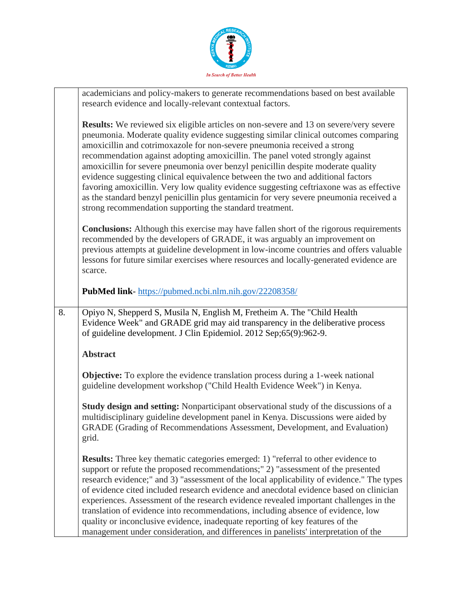

|    | academicians and policy-makers to generate recommendations based on best available<br>research evidence and locally-relevant contextual factors.                                                                                                                                                                                                                                                                                                                                                                                                                                                                                                                                                                                                                         |
|----|--------------------------------------------------------------------------------------------------------------------------------------------------------------------------------------------------------------------------------------------------------------------------------------------------------------------------------------------------------------------------------------------------------------------------------------------------------------------------------------------------------------------------------------------------------------------------------------------------------------------------------------------------------------------------------------------------------------------------------------------------------------------------|
|    | <b>Results:</b> We reviewed six eligible articles on non-severe and 13 on severe/very severe<br>pneumonia. Moderate quality evidence suggesting similar clinical outcomes comparing<br>amoxicillin and cotrimoxazole for non-severe pneumonia received a strong<br>recommendation against adopting amoxicillin. The panel voted strongly against<br>amoxicillin for severe pneumonia over benzyl penicillin despite moderate quality<br>evidence suggesting clinical equivalence between the two and additional factors<br>favoring amoxicillin. Very low quality evidence suggesting ceftriaxone was as effective<br>as the standard benzyl penicillin plus gentamicin for very severe pneumonia received a<br>strong recommendation supporting the standard treatment. |
|    | <b>Conclusions:</b> Although this exercise may have fallen short of the rigorous requirements<br>recommended by the developers of GRADE, it was arguably an improvement on<br>previous attempts at guideline development in low-income countries and offers valuable<br>lessons for future similar exercises where resources and locally-generated evidence are<br>scarce.                                                                                                                                                                                                                                                                                                                                                                                               |
|    | <b>PubMed link-</b> https://pubmed.ncbi.nlm.nih.gov/22208358/                                                                                                                                                                                                                                                                                                                                                                                                                                                                                                                                                                                                                                                                                                            |
| 8. | Opiyo N, Shepperd S, Musila N, English M, Fretheim A. The "Child Health"<br>Evidence Week" and GRADE grid may aid transparency in the deliberative process<br>of guideline development. J Clin Epidemiol. 2012 Sep;65(9):962-9.                                                                                                                                                                                                                                                                                                                                                                                                                                                                                                                                          |
|    | <b>Abstract</b>                                                                                                                                                                                                                                                                                                                                                                                                                                                                                                                                                                                                                                                                                                                                                          |
|    | <b>Objective:</b> To explore the evidence translation process during a 1-week national<br>guideline development workshop ("Child Health Evidence Week") in Kenya.                                                                                                                                                                                                                                                                                                                                                                                                                                                                                                                                                                                                        |
|    | <b>Study design and setting:</b> Nonparticipant observational study of the discussions of a<br>multidisciplinary guideline development panel in Kenya. Discussions were aided by<br>GRADE (Grading of Recommendations Assessment, Development, and Evaluation)<br>grid.                                                                                                                                                                                                                                                                                                                                                                                                                                                                                                  |
|    | <b>Results:</b> Three key thematic categories emerged: 1) "referral to other evidence to<br>support or refute the proposed recommendations;" 2) "assessment of the presented<br>research evidence;" and 3) "assessment of the local applicability of evidence." The types<br>of evidence cited included research evidence and anecdotal evidence based on clinician<br>experiences. Assessment of the research evidence revealed important challenges in the<br>translation of evidence into recommendations, including absence of evidence, low<br>quality or inconclusive evidence, inadequate reporting of key features of the<br>management under consideration, and differences in panelists' interpretation of the                                                 |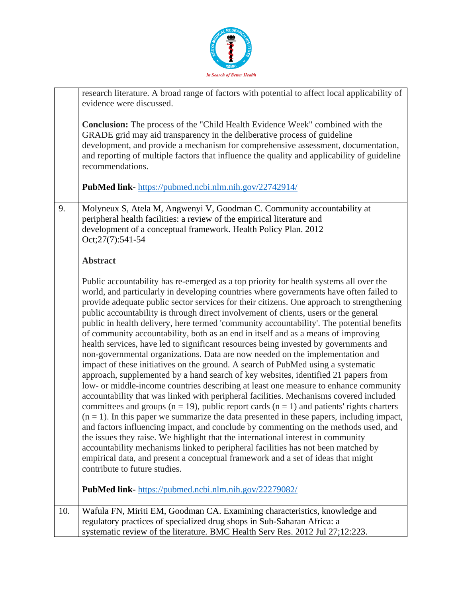

|     | research literature. A broad range of factors with potential to affect local applicability of<br>evidence were discussed.                                                                                                                                                                                                                                                                                                                                                                                                                                                                                                                                                                                                                                                                                                                                                                                                                                                                                                                                                                                                                                                                                                                                                                                                                                                                                                                                                                                                                                                                                                                                                                                                                               |
|-----|---------------------------------------------------------------------------------------------------------------------------------------------------------------------------------------------------------------------------------------------------------------------------------------------------------------------------------------------------------------------------------------------------------------------------------------------------------------------------------------------------------------------------------------------------------------------------------------------------------------------------------------------------------------------------------------------------------------------------------------------------------------------------------------------------------------------------------------------------------------------------------------------------------------------------------------------------------------------------------------------------------------------------------------------------------------------------------------------------------------------------------------------------------------------------------------------------------------------------------------------------------------------------------------------------------------------------------------------------------------------------------------------------------------------------------------------------------------------------------------------------------------------------------------------------------------------------------------------------------------------------------------------------------------------------------------------------------------------------------------------------------|
|     | <b>Conclusion:</b> The process of the "Child Health Evidence Week" combined with the<br>GRADE grid may aid transparency in the deliberative process of guideline<br>development, and provide a mechanism for comprehensive assessment, documentation,<br>and reporting of multiple factors that influence the quality and applicability of guideline<br>recommendations.                                                                                                                                                                                                                                                                                                                                                                                                                                                                                                                                                                                                                                                                                                                                                                                                                                                                                                                                                                                                                                                                                                                                                                                                                                                                                                                                                                                |
|     | PubMed link-https://pubmed.ncbi.nlm.nih.gov/22742914/                                                                                                                                                                                                                                                                                                                                                                                                                                                                                                                                                                                                                                                                                                                                                                                                                                                                                                                                                                                                                                                                                                                                                                                                                                                                                                                                                                                                                                                                                                                                                                                                                                                                                                   |
| 9.  | Molyneux S, Atela M, Angwenyi V, Goodman C. Community accountability at<br>peripheral health facilities: a review of the empirical literature and<br>development of a conceptual framework. Health Policy Plan. 2012<br>Oct;27(7):541-54                                                                                                                                                                                                                                                                                                                                                                                                                                                                                                                                                                                                                                                                                                                                                                                                                                                                                                                                                                                                                                                                                                                                                                                                                                                                                                                                                                                                                                                                                                                |
|     | <b>Abstract</b>                                                                                                                                                                                                                                                                                                                                                                                                                                                                                                                                                                                                                                                                                                                                                                                                                                                                                                                                                                                                                                                                                                                                                                                                                                                                                                                                                                                                                                                                                                                                                                                                                                                                                                                                         |
|     | Public accountability has re-emerged as a top priority for health systems all over the<br>world, and particularly in developing countries where governments have often failed to<br>provide adequate public sector services for their citizens. One approach to strengthening<br>public accountability is through direct involvement of clients, users or the general<br>public in health delivery, here termed 'community accountability'. The potential benefits<br>of community accountability, both as an end in itself and as a means of improving<br>health services, have led to significant resources being invested by governments and<br>non-governmental organizations. Data are now needed on the implementation and<br>impact of these initiatives on the ground. A search of PubMed using a systematic<br>approach, supplemented by a hand search of key websites, identified 21 papers from<br>low- or middle-income countries describing at least one measure to enhance community<br>accountability that was linked with peripheral facilities. Mechanisms covered included<br>committees and groups ( $n = 19$ ), public report cards ( $n = 1$ ) and patients' rights charters<br>$(n = 1)$ . In this paper we summarize the data presented in these papers, including impact,<br>and factors influencing impact, and conclude by commenting on the methods used, and<br>the issues they raise. We highlight that the international interest in community<br>accountability mechanisms linked to peripheral facilities has not been matched by<br>empirical data, and present a conceptual framework and a set of ideas that might<br>contribute to future studies.<br><b>PubMed link-</b> https://pubmed.ncbi.nlm.nih.gov/22279082/ |
| 10. | Wafula FN, Miriti EM, Goodman CA. Examining characteristics, knowledge and                                                                                                                                                                                                                                                                                                                                                                                                                                                                                                                                                                                                                                                                                                                                                                                                                                                                                                                                                                                                                                                                                                                                                                                                                                                                                                                                                                                                                                                                                                                                                                                                                                                                              |
|     | regulatory practices of specialized drug shops in Sub-Saharan Africa: a<br>systematic review of the literature. BMC Health Serv Res. 2012 Jul 27;12:223.                                                                                                                                                                                                                                                                                                                                                                                                                                                                                                                                                                                                                                                                                                                                                                                                                                                                                                                                                                                                                                                                                                                                                                                                                                                                                                                                                                                                                                                                                                                                                                                                |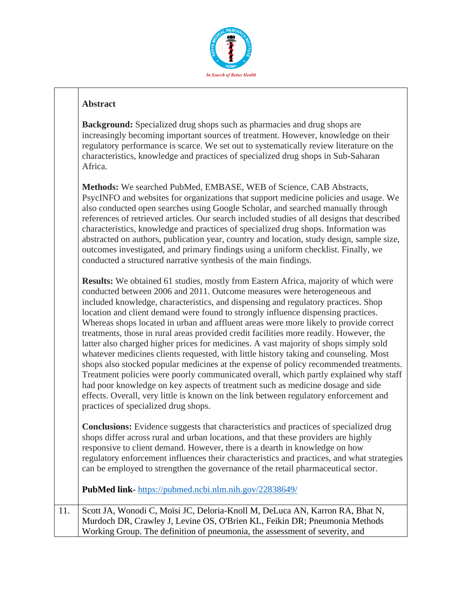

# **Abstract**

**Background:** Specialized drug shops such as pharmacies and drug shops are increasingly becoming important sources of treatment. However, knowledge on their regulatory performance is scarce. We set out to systematically review literature on the characteristics, knowledge and practices of specialized drug shops in Sub-Saharan Africa.

**Methods:** We searched PubMed, EMBASE, WEB of Science, CAB Abstracts, PsycINFO and websites for organizations that support medicine policies and usage. We also conducted open searches using Google Scholar, and searched manually through references of retrieved articles. Our search included studies of all designs that described characteristics, knowledge and practices of specialized drug shops. Information was abstracted on authors, publication year, country and location, study design, sample size, outcomes investigated, and primary findings using a uniform checklist. Finally, we conducted a structured narrative synthesis of the main findings.

**Results:** We obtained 61 studies, mostly from Eastern Africa, majority of which were conducted between 2006 and 2011. Outcome measures were heterogeneous and included knowledge, characteristics, and dispensing and regulatory practices. Shop location and client demand were found to strongly influence dispensing practices. Whereas shops located in urban and affluent areas were more likely to provide correct treatments, those in rural areas provided credit facilities more readily. However, the latter also charged higher prices for medicines. A vast majority of shops simply sold whatever medicines clients requested, with little history taking and counseling. Most shops also stocked popular medicines at the expense of policy recommended treatments. Treatment policies were poorly communicated overall, which partly explained why staff had poor knowledge on key aspects of treatment such as medicine dosage and side effects. Overall, very little is known on the link between regulatory enforcement and practices of specialized drug shops.

**Conclusions:** Evidence suggests that characteristics and practices of specialized drug shops differ across rural and urban locations, and that these providers are highly responsive to client demand. However, there is a dearth in knowledge on how regulatory enforcement influences their characteristics and practices, and what strategies can be employed to strengthen the governance of the retail pharmaceutical sector.

**PubMed link**- <https://pubmed.ncbi.nlm.nih.gov/22838649/>

11. Scott JA, Wonodi C, Moïsi JC, Deloria-Knoll M, DeLuca AN, Karron RA, Bhat N, Murdoch DR, Crawley J, Levine OS, O'Brien KL, Feikin DR; Pneumonia Methods Working Group. The definition of pneumonia, the assessment of severity, and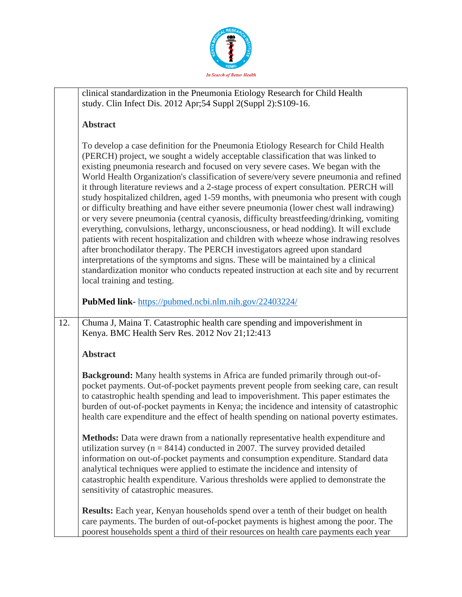

clinical standardization in the Pneumonia Etiology Research for Child Health study. Clin Infect Dis. 2012 Apr;54 Suppl 2(Suppl 2):S109-16.

## **Abstract**

To develop a case definition for the Pneumonia Etiology Research for Child Health (PERCH) project, we sought a widely acceptable classification that was linked to existing pneumonia research and focused on very severe cases. We began with the World Health Organization's classification of severe/very severe pneumonia and refined it through literature reviews and a 2-stage process of expert consultation. PERCH will study hospitalized children, aged 1-59 months, with pneumonia who present with cough or difficulty breathing and have either severe pneumonia (lower chest wall indrawing) or very severe pneumonia (central cyanosis, difficulty breastfeeding/drinking, vomiting everything, convulsions, lethargy, unconsciousness, or head nodding). It will exclude patients with recent hospitalization and children with wheeze whose indrawing resolves after bronchodilator therapy. The PERCH investigators agreed upon standard interpretations of the symptoms and signs. These will be maintained by a clinical standardization monitor who conducts repeated instruction at each site and by recurrent local training and testing. **PubMed link**- <https://pubmed.ncbi.nlm.nih.gov/22403224/> 12. Chuma J, Maina T. Catastrophic health care spending and impoverishment in Kenya. BMC Health Serv Res. 2012 Nov 21;12:413 **Abstract Background:** Many health systems in Africa are funded primarily through out-ofpocket payments. Out-of-pocket payments prevent people from seeking care, can result to catastrophic health spending and lead to impoverishment. This paper estimates the burden of out-of-pocket payments in Kenya; the incidence and intensity of catastrophic health care expenditure and the effect of health spending on national poverty estimates. **Methods:** Data were drawn from a nationally representative health expenditure and utilization survey  $(n = 8414)$  conducted in 2007. The survey provided detailed information on out-of-pocket payments and consumption expenditure. Standard data analytical techniques were applied to estimate the incidence and intensity of catastrophic health expenditure. Various thresholds were applied to demonstrate the sensitivity of catastrophic measures.

**Results:** Each year, Kenyan households spend over a tenth of their budget on health care payments. The burden of out-of-pocket payments is highest among the poor. The poorest households spent a third of their resources on health care payments each year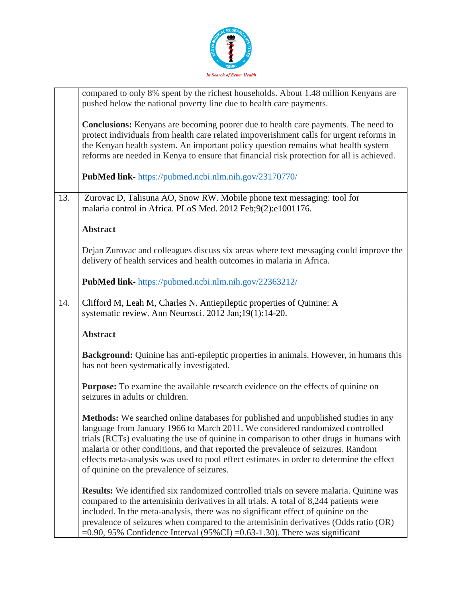

|     | compared to only 8% spent by the richest households. About 1.48 million Kenyans are                                                                                                                                                                                                                                                                                                                                                                                                                 |
|-----|-----------------------------------------------------------------------------------------------------------------------------------------------------------------------------------------------------------------------------------------------------------------------------------------------------------------------------------------------------------------------------------------------------------------------------------------------------------------------------------------------------|
|     | pushed below the national poverty line due to health care payments.                                                                                                                                                                                                                                                                                                                                                                                                                                 |
|     |                                                                                                                                                                                                                                                                                                                                                                                                                                                                                                     |
|     | <b>Conclusions:</b> Kenyans are becoming poorer due to health care payments. The need to<br>protect individuals from health care related impoverishment calls for urgent reforms in<br>the Kenyan health system. An important policy question remains what health system<br>reforms are needed in Kenya to ensure that financial risk protection for all is achieved.                                                                                                                               |
|     |                                                                                                                                                                                                                                                                                                                                                                                                                                                                                                     |
|     | PubMed link-https://pubmed.ncbi.nlm.nih.gov/23170770/                                                                                                                                                                                                                                                                                                                                                                                                                                               |
| 13. | Zurovac D, Talisuna AO, Snow RW. Mobile phone text messaging: tool for<br>malaria control in Africa. PLoS Med. 2012 Feb;9(2):e1001176.                                                                                                                                                                                                                                                                                                                                                              |
|     | <b>Abstract</b>                                                                                                                                                                                                                                                                                                                                                                                                                                                                                     |
|     | Dejan Zurovac and colleagues discuss six areas where text messaging could improve the<br>delivery of health services and health outcomes in malaria in Africa.                                                                                                                                                                                                                                                                                                                                      |
|     | <b>PubMed link-</b> https://pubmed.ncbi.nlm.nih.gov/22363212/                                                                                                                                                                                                                                                                                                                                                                                                                                       |
| 14. | Clifford M, Leah M, Charles N. Antiepileptic properties of Quinine: A<br>systematic review. Ann Neurosci. 2012 Jan;19(1):14-20.                                                                                                                                                                                                                                                                                                                                                                     |
|     | <b>Abstract</b>                                                                                                                                                                                                                                                                                                                                                                                                                                                                                     |
|     | <b>Background:</b> Quinine has anti-epileptic properties in animals. However, in humans this<br>has not been systematically investigated.                                                                                                                                                                                                                                                                                                                                                           |
|     | <b>Purpose:</b> To examine the available research evidence on the effects of quinine on<br>seizures in adults or children.                                                                                                                                                                                                                                                                                                                                                                          |
|     | <b>Methods:</b> We searched online databases for published and unpublished studies in any<br>language from January 1966 to March 2011. We considered randomized controlled<br>trials (RCTs) evaluating the use of quinine in comparison to other drugs in humans with<br>malaria or other conditions, and that reported the prevalence of seizures. Random<br>effects meta-analysis was used to pool effect estimates in order to determine the effect<br>of quinine on the prevalence of seizures. |
|     | <b>Results:</b> We identified six randomized controlled trials on severe malaria. Quinine was<br>compared to the artemisinin derivatives in all trials. A total of 8,244 patients were<br>included. In the meta-analysis, there was no significant effect of quinine on the<br>prevalence of seizures when compared to the artemisinin derivatives (Odds ratio (OR)<br>$=0.90, 95\%$ Confidence Interval (95%CI) $=0.63-1.30$ ). There was significant                                              |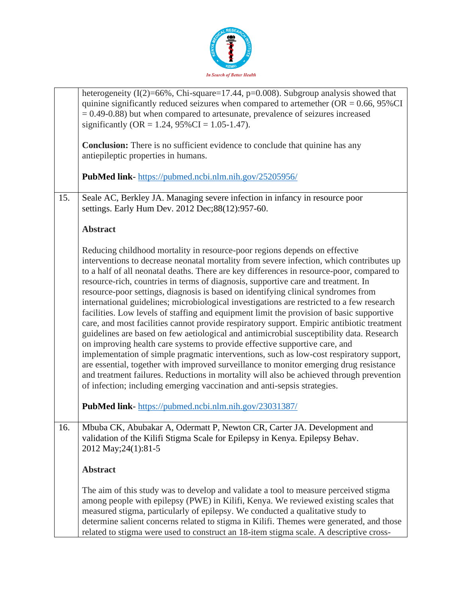

|     | heterogeneity $(I(2)=66\%$ , Chi-square=17.44, p=0.008). Subgroup analysis showed that<br>quinine significantly reduced seizures when compared to artemether ( $OR = 0.66$ , $95\%CI$<br>$= 0.49 - 0.88$ ) but when compared to artesunate, prevalence of seizures increased<br>significantly (OR = $1.24$ , $95\%$ CI = $1.05-1.47$ ).<br><b>Conclusion:</b> There is no sufficient evidence to conclude that quinine has any<br>antiepileptic properties in humans.<br>PubMed link-https://pubmed.ncbi.nlm.nih.gov/25205956/                                                                                                                                                                                                                                                                                                                                                                                                                                                                                                                                                                                                                                                                                                                                              |
|-----|-----------------------------------------------------------------------------------------------------------------------------------------------------------------------------------------------------------------------------------------------------------------------------------------------------------------------------------------------------------------------------------------------------------------------------------------------------------------------------------------------------------------------------------------------------------------------------------------------------------------------------------------------------------------------------------------------------------------------------------------------------------------------------------------------------------------------------------------------------------------------------------------------------------------------------------------------------------------------------------------------------------------------------------------------------------------------------------------------------------------------------------------------------------------------------------------------------------------------------------------------------------------------------|
| 15. | Seale AC, Berkley JA. Managing severe infection in infancy in resource poor<br>settings. Early Hum Dev. 2012 Dec;88(12):957-60.                                                                                                                                                                                                                                                                                                                                                                                                                                                                                                                                                                                                                                                                                                                                                                                                                                                                                                                                                                                                                                                                                                                                             |
|     | <b>Abstract</b>                                                                                                                                                                                                                                                                                                                                                                                                                                                                                                                                                                                                                                                                                                                                                                                                                                                                                                                                                                                                                                                                                                                                                                                                                                                             |
|     | Reducing childhood mortality in resource-poor regions depends on effective<br>interventions to decrease neonatal mortality from severe infection, which contributes up<br>to a half of all neonatal deaths. There are key differences in resource-poor, compared to<br>resource-rich, countries in terms of diagnosis, supportive care and treatment. In<br>resource-poor settings, diagnosis is based on identifying clinical syndromes from<br>international guidelines; microbiological investigations are restricted to a few research<br>facilities. Low levels of staffing and equipment limit the provision of basic supportive<br>care, and most facilities cannot provide respiratory support. Empiric antibiotic treatment<br>guidelines are based on few aetiological and antimicrobial susceptibility data. Research<br>on improving health care systems to provide effective supportive care, and<br>implementation of simple pragmatic interventions, such as low-cost respiratory support,<br>are essential, together with improved surveillance to monitor emerging drug resistance<br>and treatment failures. Reductions in mortality will also be achieved through prevention<br>of infection; including emerging vaccination and anti-sepsis strategies. |
|     | PubMed link-https://pubmed.ncbi.nlm.nih.gov/23031387/                                                                                                                                                                                                                                                                                                                                                                                                                                                                                                                                                                                                                                                                                                                                                                                                                                                                                                                                                                                                                                                                                                                                                                                                                       |
| 16. | Mbuba CK, Abubakar A, Odermatt P, Newton CR, Carter JA. Development and<br>validation of the Kilifi Stigma Scale for Epilepsy in Kenya. Epilepsy Behav.<br>2012 May; 24(1): 81-5                                                                                                                                                                                                                                                                                                                                                                                                                                                                                                                                                                                                                                                                                                                                                                                                                                                                                                                                                                                                                                                                                            |
|     | <b>Abstract</b>                                                                                                                                                                                                                                                                                                                                                                                                                                                                                                                                                                                                                                                                                                                                                                                                                                                                                                                                                                                                                                                                                                                                                                                                                                                             |
|     | The aim of this study was to develop and validate a tool to measure perceived stigma<br>among people with epilepsy (PWE) in Kilifi, Kenya. We reviewed existing scales that<br>measured stigma, particularly of epilepsy. We conducted a qualitative study to<br>determine salient concerns related to stigma in Kilifi. Themes were generated, and those<br>related to stigma were used to construct an 18-item stigma scale. A descriptive cross-                                                                                                                                                                                                                                                                                                                                                                                                                                                                                                                                                                                                                                                                                                                                                                                                                         |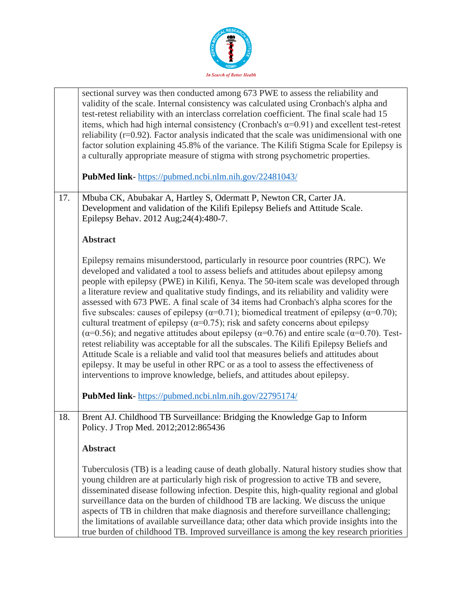

|     | sectional survey was then conducted among 673 PWE to assess the reliability and<br>validity of the scale. Internal consistency was calculated using Cronbach's alpha and<br>test-retest reliability with an interclass correlation coefficient. The final scale had 15<br>items, which had high internal consistency (Cronbach's $\alpha$ =0.91) and excellent test-retest<br>reliability ( $r=0.92$ ). Factor analysis indicated that the scale was unidimensional with one<br>factor solution explaining 45.8% of the variance. The Kilifi Stigma Scale for Epilepsy is<br>a culturally appropriate measure of stigma with strong psychometric properties.                                                                                                                                                                                                                                                                                                                                                                                                                                                                                      |
|-----|---------------------------------------------------------------------------------------------------------------------------------------------------------------------------------------------------------------------------------------------------------------------------------------------------------------------------------------------------------------------------------------------------------------------------------------------------------------------------------------------------------------------------------------------------------------------------------------------------------------------------------------------------------------------------------------------------------------------------------------------------------------------------------------------------------------------------------------------------------------------------------------------------------------------------------------------------------------------------------------------------------------------------------------------------------------------------------------------------------------------------------------------------|
|     | PubMed link-https://pubmed.ncbi.nlm.nih.gov/22481043/                                                                                                                                                                                                                                                                                                                                                                                                                                                                                                                                                                                                                                                                                                                                                                                                                                                                                                                                                                                                                                                                                             |
| 17. | Mbuba CK, Abubakar A, Hartley S, Odermatt P, Newton CR, Carter JA.<br>Development and validation of the Kilifi Epilepsy Beliefs and Attitude Scale.<br>Epilepsy Behav. 2012 Aug; 24(4): 480-7.                                                                                                                                                                                                                                                                                                                                                                                                                                                                                                                                                                                                                                                                                                                                                                                                                                                                                                                                                    |
|     | <b>Abstract</b>                                                                                                                                                                                                                                                                                                                                                                                                                                                                                                                                                                                                                                                                                                                                                                                                                                                                                                                                                                                                                                                                                                                                   |
|     | Epilepsy remains misunderstood, particularly in resource poor countries (RPC). We<br>developed and validated a tool to assess beliefs and attitudes about epilepsy among<br>people with epilepsy (PWE) in Kilifi, Kenya. The 50-item scale was developed through<br>a literature review and qualitative study findings, and its reliability and validity were<br>assessed with 673 PWE. A final scale of 34 items had Cronbach's alpha scores for the<br>five subscales: causes of epilepsy ( $\alpha$ =0.71); biomedical treatment of epilepsy ( $\alpha$ =0.70);<br>cultural treatment of epilepsy ( $\alpha$ =0.75); risk and safety concerns about epilepsy<br>( $\alpha$ =0.56); and negative attitudes about epilepsy ( $\alpha$ =0.76) and entire scale ( $\alpha$ =0.70). Test-<br>retest reliability was acceptable for all the subscales. The Kilifi Epilepsy Beliefs and<br>Attitude Scale is a reliable and valid tool that measures beliefs and attitudes about<br>epilepsy. It may be useful in other RPC or as a tool to assess the effectiveness of<br>interventions to improve knowledge, beliefs, and attitudes about epilepsy. |
|     | PubMed link-https://pubmed.ncbi.nlm.nih.gov/22795174/                                                                                                                                                                                                                                                                                                                                                                                                                                                                                                                                                                                                                                                                                                                                                                                                                                                                                                                                                                                                                                                                                             |
| 18. | Brent AJ. Childhood TB Surveillance: Bridging the Knowledge Gap to Inform<br>Policy. J Trop Med. 2012;2012:865436                                                                                                                                                                                                                                                                                                                                                                                                                                                                                                                                                                                                                                                                                                                                                                                                                                                                                                                                                                                                                                 |
|     | <b>Abstract</b>                                                                                                                                                                                                                                                                                                                                                                                                                                                                                                                                                                                                                                                                                                                                                                                                                                                                                                                                                                                                                                                                                                                                   |
|     | Tuberculosis (TB) is a leading cause of death globally. Natural history studies show that<br>young children are at particularly high risk of progression to active TB and severe,<br>disseminated disease following infection. Despite this, high-quality regional and global<br>surveillance data on the burden of childhood TB are lacking. We discuss the unique<br>aspects of TB in children that make diagnosis and therefore surveillance challenging;<br>the limitations of available surveillance data; other data which provide insights into the<br>true burden of childhood TB. Improved surveillance is among the key research priorities                                                                                                                                                                                                                                                                                                                                                                                                                                                                                             |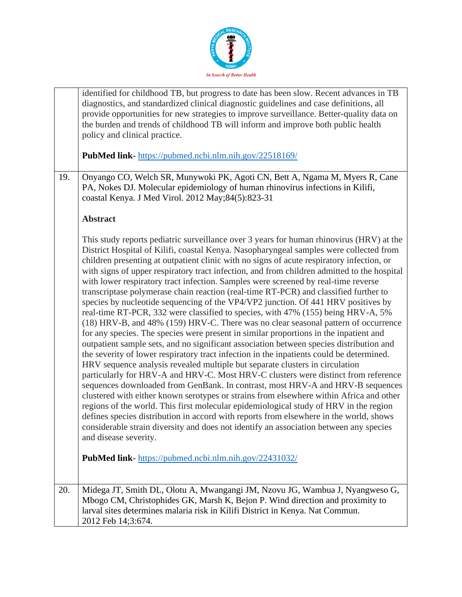

|     | identified for childhood TB, but progress to date has been slow. Recent advances in TB<br>diagnostics, and standardized clinical diagnostic guidelines and case definitions, all<br>provide opportunities for new strategies to improve surveillance. Better-quality data on<br>the burden and trends of childhood TB will inform and improve both public health<br>policy and clinical practice.<br>PubMed link-https://pubmed.ncbi.nlm.nih.gov/22518169/                                                                                                                                                                                                                                                                                                                                                                                                                                                                                                                                                                                                                                                                                                                                                                                                                                                                                                                                                                                                                                                                                                                                                                                                                                                                                                           |
|-----|----------------------------------------------------------------------------------------------------------------------------------------------------------------------------------------------------------------------------------------------------------------------------------------------------------------------------------------------------------------------------------------------------------------------------------------------------------------------------------------------------------------------------------------------------------------------------------------------------------------------------------------------------------------------------------------------------------------------------------------------------------------------------------------------------------------------------------------------------------------------------------------------------------------------------------------------------------------------------------------------------------------------------------------------------------------------------------------------------------------------------------------------------------------------------------------------------------------------------------------------------------------------------------------------------------------------------------------------------------------------------------------------------------------------------------------------------------------------------------------------------------------------------------------------------------------------------------------------------------------------------------------------------------------------------------------------------------------------------------------------------------------------|
|     |                                                                                                                                                                                                                                                                                                                                                                                                                                                                                                                                                                                                                                                                                                                                                                                                                                                                                                                                                                                                                                                                                                                                                                                                                                                                                                                                                                                                                                                                                                                                                                                                                                                                                                                                                                      |
| 19. | Onyango CO, Welch SR, Munywoki PK, Agoti CN, Bett A, Ngama M, Myers R, Cane<br>PA, Nokes DJ. Molecular epidemiology of human rhinovirus infections in Kilifi,<br>coastal Kenya. J Med Virol. 2012 May;84(5):823-31                                                                                                                                                                                                                                                                                                                                                                                                                                                                                                                                                                                                                                                                                                                                                                                                                                                                                                                                                                                                                                                                                                                                                                                                                                                                                                                                                                                                                                                                                                                                                   |
|     | Abstract                                                                                                                                                                                                                                                                                                                                                                                                                                                                                                                                                                                                                                                                                                                                                                                                                                                                                                                                                                                                                                                                                                                                                                                                                                                                                                                                                                                                                                                                                                                                                                                                                                                                                                                                                             |
|     | This study reports pediatric surveillance over 3 years for human rhinovirus (HRV) at the<br>District Hospital of Kilifi, coastal Kenya. Nasopharyngeal samples were collected from<br>children presenting at outpatient clinic with no signs of acute respiratory infection, or<br>with signs of upper respiratory tract infection, and from children admitted to the hospital<br>with lower respiratory tract infection. Samples were screened by real-time reverse<br>transcriptase polymerase chain reaction (real-time RT-PCR) and classified further to<br>species by nucleotide sequencing of the VP4/VP2 junction. Of 441 HRV positives by<br>real-time RT-PCR, 332 were classified to species, with 47% (155) being HRV-A, 5%<br>(18) HRV-B, and 48% (159) HRV-C. There was no clear seasonal pattern of occurrence<br>for any species. The species were present in similar proportions in the inpatient and<br>outpatient sample sets, and no significant association between species distribution and<br>the severity of lower respiratory tract infection in the inpatients could be determined.<br>HRV sequence analysis revealed multiple but separate clusters in circulation<br>particularly for HRV-A and HRV-C. Most HRV-C clusters were distinct from reference<br>sequences downloaded from GenBank. In contrast, most HRV-A and HRV-B sequences<br>clustered with either known serotypes or strains from elsewhere within Africa and other<br>regions of the world. This first molecular epidemiological study of HRV in the region<br>defines species distribution in accord with reports from elsewhere in the world, shows<br>considerable strain diversity and does not identify an association between any species<br>and disease severity. |
|     | PubMed link-https://pubmed.ncbi.nlm.nih.gov/22431032/                                                                                                                                                                                                                                                                                                                                                                                                                                                                                                                                                                                                                                                                                                                                                                                                                                                                                                                                                                                                                                                                                                                                                                                                                                                                                                                                                                                                                                                                                                                                                                                                                                                                                                                |
| 20. | Midega JT, Smith DL, Olotu A, Mwangangi JM, Nzovu JG, Wambua J, Nyangweso G,<br>Mbogo CM, Christophides GK, Marsh K, Bejon P. Wind direction and proximity to<br>larval sites determines malaria risk in Kilifi District in Kenya. Nat Commun.<br>2012 Feb 14;3:674.                                                                                                                                                                                                                                                                                                                                                                                                                                                                                                                                                                                                                                                                                                                                                                                                                                                                                                                                                                                                                                                                                                                                                                                                                                                                                                                                                                                                                                                                                                 |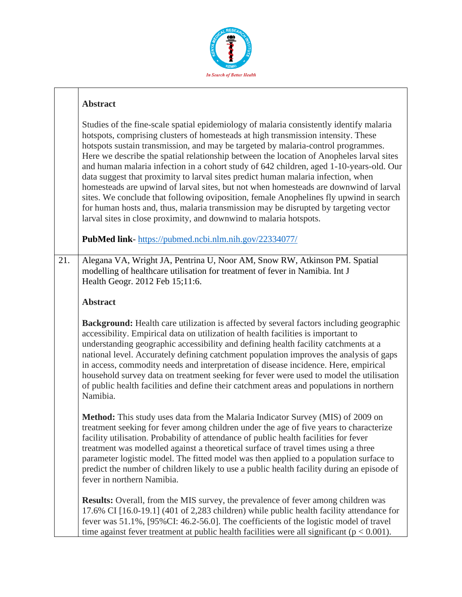

# **Abstract**

Studies of the fine-scale spatial epidemiology of malaria consistently identify malaria hotspots, comprising clusters of homesteads at high transmission intensity. These hotspots sustain transmission, and may be targeted by malaria-control programmes. Here we describe the spatial relationship between the location of Anopheles larval sites and human malaria infection in a cohort study of 642 children, aged 1-10-years-old. Our data suggest that proximity to larval sites predict human malaria infection, when homesteads are upwind of larval sites, but not when homesteads are downwind of larval sites. We conclude that following oviposition, female Anophelines fly upwind in search for human hosts and, thus, malaria transmission may be disrupted by targeting vector larval sites in close proximity, and downwind to malaria hotspots.

**PubMed link**- <https://pubmed.ncbi.nlm.nih.gov/22334077/>

21. Alegana VA, Wright JA, Pentrina U, Noor AM, Snow RW, Atkinson PM. Spatial modelling of healthcare utilisation for treatment of fever in Namibia. Int J Health Geogr. 2012 Feb 15;11:6.

### **Abstract**

**Background:** Health care utilization is affected by several factors including geographic accessibility. Empirical data on utilization of health facilities is important to understanding geographic accessibility and defining health facility catchments at a national level. Accurately defining catchment population improves the analysis of gaps in access, commodity needs and interpretation of disease incidence. Here, empirical household survey data on treatment seeking for fever were used to model the utilisation of public health facilities and define their catchment areas and populations in northern Namibia.

**Method:** This study uses data from the Malaria Indicator Survey (MIS) of 2009 on treatment seeking for fever among children under the age of five years to characterize facility utilisation. Probability of attendance of public health facilities for fever treatment was modelled against a theoretical surface of travel times using a three parameter logistic model. The fitted model was then applied to a population surface to predict the number of children likely to use a public health facility during an episode of fever in northern Namibia.

**Results:** Overall, from the MIS survey, the prevalence of fever among children was 17.6% CI [16.0-19.1] (401 of 2,283 children) while public health facility attendance for fever was 51.1%, [95%CI: 46.2-56.0]. The coefficients of the logistic model of travel time against fever treatment at public health facilities were all significant ( $p < 0.001$ ).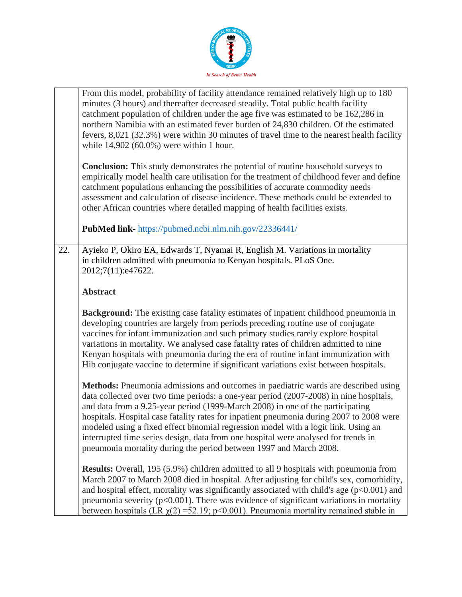

|     | From this model, probability of facility attendance remained relatively high up to 180<br>minutes (3 hours) and thereafter decreased steadily. Total public health facility<br>catchment population of children under the age five was estimated to be 162,286 in<br>northern Namibia with an estimated fever burden of 24,830 children. Of the estimated<br>fevers, 8,021 (32.3%) were within 30 minutes of travel time to the nearest health facility<br>while $14,902$ (60.0%) were within 1 hour.<br><b>Conclusion:</b> This study demonstrates the potential of routine household surveys to            |
|-----|--------------------------------------------------------------------------------------------------------------------------------------------------------------------------------------------------------------------------------------------------------------------------------------------------------------------------------------------------------------------------------------------------------------------------------------------------------------------------------------------------------------------------------------------------------------------------------------------------------------|
|     | empirically model health care utilisation for the treatment of childhood fever and define<br>catchment populations enhancing the possibilities of accurate commodity needs<br>assessment and calculation of disease incidence. These methods could be extended to<br>other African countries where detailed mapping of health facilities exists.                                                                                                                                                                                                                                                             |
|     | PubMed link-https://pubmed.ncbi.nlm.nih.gov/22336441/                                                                                                                                                                                                                                                                                                                                                                                                                                                                                                                                                        |
| 22. | Ayieko P, Okiro EA, Edwards T, Nyamai R, English M. Variations in mortality<br>in children admitted with pneumonia to Kenyan hospitals. PLoS One.<br>2012;7(11):e47622.                                                                                                                                                                                                                                                                                                                                                                                                                                      |
|     | <b>Abstract</b>                                                                                                                                                                                                                                                                                                                                                                                                                                                                                                                                                                                              |
|     | <b>Background:</b> The existing case fatality estimates of inpatient childhood pneumonia in<br>developing countries are largely from periods preceding routine use of conjugate<br>vaccines for infant immunization and such primary studies rarely explore hospital<br>variations in mortality. We analysed case fatality rates of children admitted to nine<br>Kenyan hospitals with pneumonia during the era of routine infant immunization with<br>Hib conjugate vaccine to determine if significant variations exist between hospitals.                                                                 |
|     | Methods: Pneumonia admissions and outcomes in paediatric wards are described using<br>data collected over two time periods: a one-year period (2007-2008) in nine hospitals,<br>and data from a 9.25-year period (1999-March 2008) in one of the participating<br>hospitals. Hospital case fatality rates for inpatient pneumonia during 2007 to 2008 were<br>modeled using a fixed effect binomial regression model with a logit link. Using an<br>interrupted time series design, data from one hospital were analysed for trends in<br>pneumonia mortality during the period between 1997 and March 2008. |
|     | <b>Results:</b> Overall, 195 (5.9%) children admitted to all 9 hospitals with pneumonia from<br>March 2007 to March 2008 died in hospital. After adjusting for child's sex, comorbidity,<br>and hospital effect, mortality was significantly associated with child's age ( $p<0.001$ ) and<br>pneumonia severity ( $p<0.001$ ). There was evidence of significant variations in mortality<br>between hospitals (LR $\chi$ (2) = 52.19; p < 0.001). Pneumonia mortality remained stable in                                                                                                                    |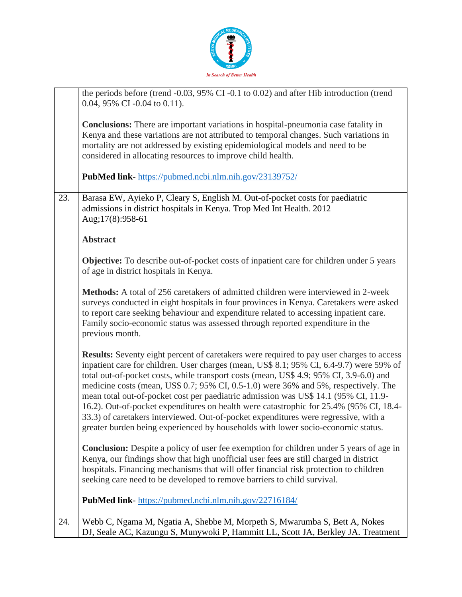

|     | the periods before (trend -0.03, 95% CI -0.1 to 0.02) and after Hib introduction (trend<br>0.04, 95% CI -0.04 to 0.11).                                                                                                                                                                                                                                                                                                                                                                                                                                                                                                                                                                                                                 |
|-----|-----------------------------------------------------------------------------------------------------------------------------------------------------------------------------------------------------------------------------------------------------------------------------------------------------------------------------------------------------------------------------------------------------------------------------------------------------------------------------------------------------------------------------------------------------------------------------------------------------------------------------------------------------------------------------------------------------------------------------------------|
|     | <b>Conclusions:</b> There are important variations in hospital-pneumonia case fatality in<br>Kenya and these variations are not attributed to temporal changes. Such variations in<br>mortality are not addressed by existing epidemiological models and need to be<br>considered in allocating resources to improve child health.                                                                                                                                                                                                                                                                                                                                                                                                      |
|     | PubMed link-https://pubmed.ncbi.nlm.nih.gov/23139752/                                                                                                                                                                                                                                                                                                                                                                                                                                                                                                                                                                                                                                                                                   |
| 23. | Barasa EW, Ayieko P, Cleary S, English M. Out-of-pocket costs for paediatric<br>admissions in district hospitals in Kenya. Trop Med Int Health. 2012.<br>Aug;17(8):958-61                                                                                                                                                                                                                                                                                                                                                                                                                                                                                                                                                               |
|     | <b>Abstract</b>                                                                                                                                                                                                                                                                                                                                                                                                                                                                                                                                                                                                                                                                                                                         |
|     | <b>Objective:</b> To describe out-of-pocket costs of inpatient care for children under 5 years<br>of age in district hospitals in Kenya.                                                                                                                                                                                                                                                                                                                                                                                                                                                                                                                                                                                                |
|     | <b>Methods:</b> A total of 256 caretakers of admitted children were interviewed in 2-week<br>surveys conducted in eight hospitals in four provinces in Kenya. Caretakers were asked<br>to report care seeking behaviour and expenditure related to accessing inpatient care.<br>Family socio-economic status was assessed through reported expenditure in the<br>previous month.                                                                                                                                                                                                                                                                                                                                                        |
|     | <b>Results:</b> Seventy eight percent of caretakers were required to pay user charges to access<br>inpatient care for children. User charges (mean, US\$ 8.1; 95% CI, 6.4-9.7) were 59% of<br>total out-of-pocket costs, while transport costs (mean, US\$ 4.9; 95% CI, 3.9-6.0) and<br>medicine costs (mean, US\$ 0.7; 95% CI, 0.5-1.0) were 36% and 5%, respectively. The<br>mean total out-of-pocket cost per paediatric admission was US\$ 14.1 (95% CI, 11.9-<br>16.2). Out-of-pocket expenditures on health were catastrophic for 25.4% (95% CI, 18.4-<br>33.3) of caretakers interviewed. Out-of-pocket expenditures were regressive, with a<br>greater burden being experienced by households with lower socio-economic status. |
|     | Conclusion: Despite a policy of user fee exemption for children under 5 years of age in<br>Kenya, our findings show that high unofficial user fees are still charged in district<br>hospitals. Financing mechanisms that will offer financial risk protection to children<br>seeking care need to be developed to remove barriers to child survival.                                                                                                                                                                                                                                                                                                                                                                                    |
|     | PubMed link-https://pubmed.ncbi.nlm.nih.gov/22716184/                                                                                                                                                                                                                                                                                                                                                                                                                                                                                                                                                                                                                                                                                   |
| 24. | Webb C, Ngama M, Ngatia A, Shebbe M, Morpeth S, Mwarumba S, Bett A, Nokes<br>DJ, Seale AC, Kazungu S, Munywoki P, Hammitt LL, Scott JA, Berkley JA. Treatment                                                                                                                                                                                                                                                                                                                                                                                                                                                                                                                                                                           |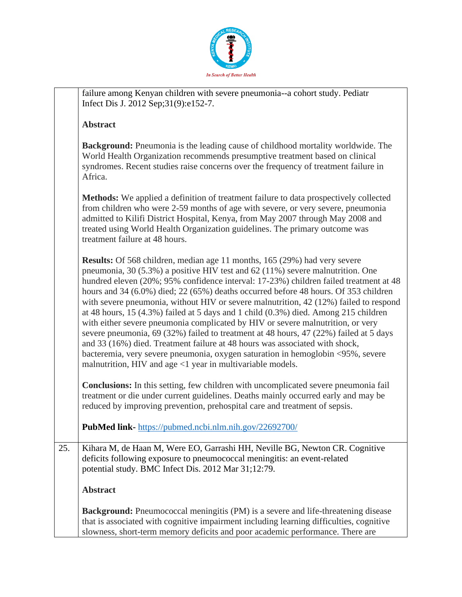

|     | failure among Kenyan children with severe pneumonia--a cohort study. Pediatr<br>Infect Dis J. 2012 Sep;31(9):e152-7.                                                                                                                                                                                                                                                                                                                                                                                                                                                                                                                                                                                                                                                                                                                                                                                                                                   |
|-----|--------------------------------------------------------------------------------------------------------------------------------------------------------------------------------------------------------------------------------------------------------------------------------------------------------------------------------------------------------------------------------------------------------------------------------------------------------------------------------------------------------------------------------------------------------------------------------------------------------------------------------------------------------------------------------------------------------------------------------------------------------------------------------------------------------------------------------------------------------------------------------------------------------------------------------------------------------|
|     | <b>Abstract</b>                                                                                                                                                                                                                                                                                                                                                                                                                                                                                                                                                                                                                                                                                                                                                                                                                                                                                                                                        |
|     | <b>Background:</b> Pneumonia is the leading cause of childhood mortality worldwide. The<br>World Health Organization recommends presumptive treatment based on clinical<br>syndromes. Recent studies raise concerns over the frequency of treatment failure in<br>Africa.                                                                                                                                                                                                                                                                                                                                                                                                                                                                                                                                                                                                                                                                              |
|     | Methods: We applied a definition of treatment failure to data prospectively collected<br>from children who were 2-59 months of age with severe, or very severe, pneumonia<br>admitted to Kilifi District Hospital, Kenya, from May 2007 through May 2008 and<br>treated using World Health Organization guidelines. The primary outcome was<br>treatment failure at 48 hours.                                                                                                                                                                                                                                                                                                                                                                                                                                                                                                                                                                          |
|     | <b>Results:</b> Of 568 children, median age 11 months, 165 (29%) had very severe<br>pneumonia, 30 $(5.3\%)$ a positive HIV test and 62 $(11\%)$ severe malnutrition. One<br>hundred eleven (20%; 95% confidence interval: 17-23%) children failed treatment at 48<br>hours and 34 (6.0%) died; 22 (65%) deaths occurred before 48 hours. Of 353 children<br>with severe pneumonia, without HIV or severe malnutrition, 42 (12%) failed to respond<br>at 48 hours, 15 (4.3%) failed at 5 days and 1 child $(0.3%)$ died. Among 215 children<br>with either severe pneumonia complicated by HIV or severe malnutrition, or very<br>severe pneumonia, 69 (32%) failed to treatment at 48 hours, 47 (22%) failed at 5 days<br>and 33 (16%) died. Treatment failure at 48 hours was associated with shock,<br>bacteremia, very severe pneumonia, oxygen saturation in hemoglobin <95%, severe<br>malnutrition, HIV and age <1 year in multivariable models. |
|     | <b>Conclusions:</b> In this setting, few children with uncomplicated severe pneumonia fail<br>treatment or die under current guidelines. Deaths mainly occurred early and may be<br>reduced by improving prevention, prehospital care and treatment of sepsis.<br>PubMed link-https://pubmed.ncbi.nlm.nih.gov/22692700/                                                                                                                                                                                                                                                                                                                                                                                                                                                                                                                                                                                                                                |
| 25. | Kihara M, de Haan M, Were EO, Garrashi HH, Neville BG, Newton CR. Cognitive                                                                                                                                                                                                                                                                                                                                                                                                                                                                                                                                                                                                                                                                                                                                                                                                                                                                            |
|     | deficits following exposure to pneumococcal meningitis: an event-related<br>potential study. BMC Infect Dis. 2012 Mar 31;12:79.                                                                                                                                                                                                                                                                                                                                                                                                                                                                                                                                                                                                                                                                                                                                                                                                                        |
|     | <b>Abstract</b>                                                                                                                                                                                                                                                                                                                                                                                                                                                                                                                                                                                                                                                                                                                                                                                                                                                                                                                                        |
|     | <b>Background:</b> Pneumococcal meningitis (PM) is a severe and life-threatening disease<br>that is associated with cognitive impairment including learning difficulties, cognitive<br>slowness, short-term memory deficits and poor academic performance. There are                                                                                                                                                                                                                                                                                                                                                                                                                                                                                                                                                                                                                                                                                   |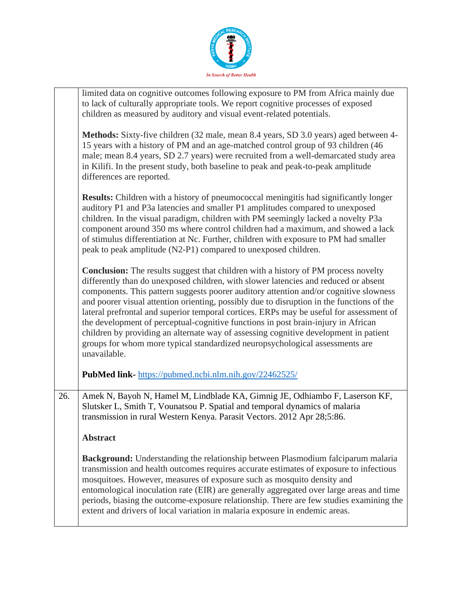

|     | limited data on cognitive outcomes following exposure to PM from Africa mainly due<br>to lack of culturally appropriate tools. We report cognitive processes of exposed<br>children as measured by auditory and visual event-related potentials.                                                                                                                                                                                                                                                                                                                                                                                                                                                                                               |
|-----|------------------------------------------------------------------------------------------------------------------------------------------------------------------------------------------------------------------------------------------------------------------------------------------------------------------------------------------------------------------------------------------------------------------------------------------------------------------------------------------------------------------------------------------------------------------------------------------------------------------------------------------------------------------------------------------------------------------------------------------------|
|     | Methods: Sixty-five children (32 male, mean 8.4 years, SD 3.0 years) aged between 4-<br>15 years with a history of PM and an age-matched control group of 93 children (46<br>male; mean 8.4 years, SD 2.7 years) were recruited from a well-demarcated study area<br>in Kilifi. In the present study, both baseline to peak and peak-to-peak amplitude<br>differences are reported.                                                                                                                                                                                                                                                                                                                                                            |
|     | <b>Results:</b> Children with a history of pneumococcal meningitis had significantly longer<br>auditory P1 and P3a latencies and smaller P1 amplitudes compared to unexposed<br>children. In the visual paradigm, children with PM seemingly lacked a novelty P3a<br>component around 350 ms where control children had a maximum, and showed a lack<br>of stimulus differentiation at Nc. Further, children with exposure to PM had smaller<br>peak to peak amplitude (N2-P1) compared to unexposed children.                                                                                                                                                                                                                                 |
|     | <b>Conclusion:</b> The results suggest that children with a history of PM process novelty<br>differently than do unexposed children, with slower latencies and reduced or absent<br>components. This pattern suggests poorer auditory attention and/or cognitive slowness<br>and poorer visual attention orienting, possibly due to disruption in the functions of the<br>lateral prefrontal and superior temporal cortices. ERPs may be useful for assessment of<br>the development of perceptual-cognitive functions in post brain-injury in African<br>children by providing an alternate way of assessing cognitive development in patient<br>groups for whom more typical standardized neuropsychological assessments are<br>unavailable. |
|     | PubMed link-https://pubmed.ncbi.nlm.nih.gov/22462525/                                                                                                                                                                                                                                                                                                                                                                                                                                                                                                                                                                                                                                                                                          |
| 26. | Amek N, Bayoh N, Hamel M, Lindblade KA, Gimnig JE, Odhiambo F, Laserson KF,<br>Slutsker L, Smith T, Vounatsou P. Spatial and temporal dynamics of malaria<br>transmission in rural Western Kenya. Parasit Vectors. 2012 Apr 28;5:86.                                                                                                                                                                                                                                                                                                                                                                                                                                                                                                           |
|     | <b>Abstract</b>                                                                                                                                                                                                                                                                                                                                                                                                                                                                                                                                                                                                                                                                                                                                |
|     | <b>Background:</b> Understanding the relationship between Plasmodium falciparum malaria<br>transmission and health outcomes requires accurate estimates of exposure to infectious<br>mosquitoes. However, measures of exposure such as mosquito density and<br>entomological inoculation rate (EIR) are generally aggregated over large areas and time<br>periods, biasing the outcome-exposure relationship. There are few studies examining the<br>extent and drivers of local variation in malaria exposure in endemic areas.                                                                                                                                                                                                               |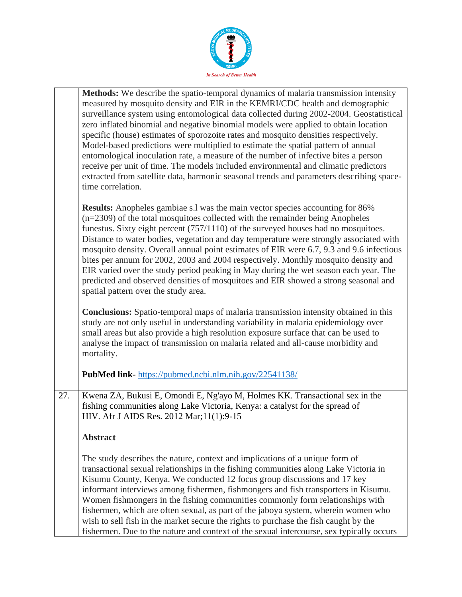

|     | Methods: We describe the spatio-temporal dynamics of malaria transmission intensity<br>measured by mosquito density and EIR in the KEMRI/CDC health and demographic<br>surveillance system using entomological data collected during 2002-2004. Geostatistical<br>zero inflated binomial and negative binomial models were applied to obtain location<br>specific (house) estimates of sporozoite rates and mosquito densities respectively.<br>Model-based predictions were multiplied to estimate the spatial pattern of annual<br>entomological inoculation rate, a measure of the number of infective bites a person<br>receive per unit of time. The models included environmental and climatic predictors<br>extracted from satellite data, harmonic seasonal trends and parameters describing space-<br>time correlation. |
|-----|----------------------------------------------------------------------------------------------------------------------------------------------------------------------------------------------------------------------------------------------------------------------------------------------------------------------------------------------------------------------------------------------------------------------------------------------------------------------------------------------------------------------------------------------------------------------------------------------------------------------------------------------------------------------------------------------------------------------------------------------------------------------------------------------------------------------------------|
|     | <b>Results:</b> Anopheles gambiae s.l was the main vector species accounting for 86%<br>$(n=2309)$ of the total mosquitoes collected with the remainder being Anopheles<br>funestus. Sixty eight percent (757/1110) of the surveyed houses had no mosquitoes.<br>Distance to water bodies, vegetation and day temperature were strongly associated with<br>mosquito density. Overall annual point estimates of EIR were 6.7, 9.3 and 9.6 infectious<br>bites per annum for 2002, 2003 and 2004 respectively. Monthly mosquito density and<br>EIR varied over the study period peaking in May during the wet season each year. The<br>predicted and observed densities of mosquitoes and EIR showed a strong seasonal and<br>spatial pattern over the study area.                                                                 |
|     | <b>Conclusions:</b> Spatio-temporal maps of malaria transmission intensity obtained in this<br>study are not only useful in understanding variability in malaria epidemiology over<br>small areas but also provide a high resolution exposure surface that can be used to<br>analyse the impact of transmission on malaria related and all-cause morbidity and<br>mortality.                                                                                                                                                                                                                                                                                                                                                                                                                                                     |
|     | PubMed link-https://pubmed.ncbi.nlm.nih.gov/22541138/                                                                                                                                                                                                                                                                                                                                                                                                                                                                                                                                                                                                                                                                                                                                                                            |
| 27. | Kwena ZA, Bukusi E, Omondi E, Ng'ayo M, Holmes KK. Transactional sex in the<br>fishing communities along Lake Victoria, Kenya: a catalyst for the spread of<br>HIV. Afr J AIDS Res. 2012 Mar;11(1):9-15                                                                                                                                                                                                                                                                                                                                                                                                                                                                                                                                                                                                                          |
|     | <b>Abstract</b>                                                                                                                                                                                                                                                                                                                                                                                                                                                                                                                                                                                                                                                                                                                                                                                                                  |
|     | The study describes the nature, context and implications of a unique form of<br>transactional sexual relationships in the fishing communities along Lake Victoria in<br>Kisumu County, Kenya. We conducted 12 focus group discussions and 17 key<br>informant interviews among fishermen, fishmongers and fish transporters in Kisumu.<br>Women fishmongers in the fishing communities commonly form relationships with<br>fishermen, which are often sexual, as part of the jaboya system, wherein women who<br>wish to sell fish in the market secure the rights to purchase the fish caught by the<br>fishermen. Due to the nature and context of the sexual intercourse, sex typically occurs                                                                                                                                |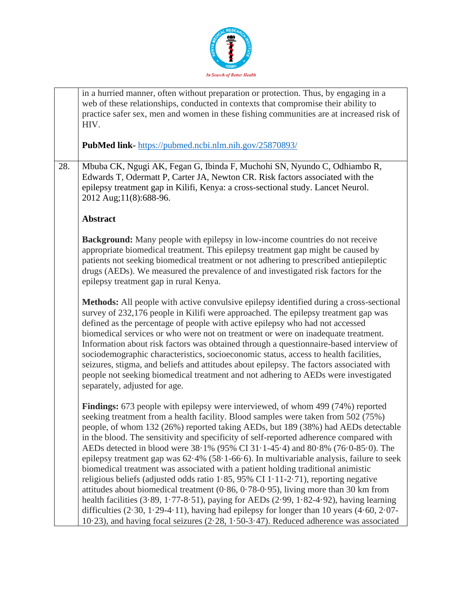

in a hurried manner, often without preparation or protection. Thus, by engaging in a web of these relationships, conducted in contexts that compromise their ability to practice safer sex, men and women in these fishing communities are at increased risk of HIV. **PubMed link-** <https://pubmed.ncbi.nlm.nih.gov/25870893/>

28. | Mbuba CK, Ngugi AK, Fegan G, Ibinda F, Muchohi SN, Nyundo C, Odhiambo R, Edwards T, Odermatt P, Carter JA, Newton CR. Risk factors associated with the epilepsy treatment gap in Kilifi, Kenya: a cross-sectional study. Lancet Neurol. 2012 Aug;11(8):688-96.

#### **Abstract**

**Background:** Many people with epilepsy in low-income countries do not receive appropriate biomedical treatment. This epilepsy treatment gap might be caused by patients not seeking biomedical treatment or not adhering to prescribed antiepileptic drugs (AEDs). We measured the prevalence of and investigated risk factors for the epilepsy treatment gap in rural Kenya.

**Methods:** All people with active convulsive epilepsy identified during a cross-sectional survey of 232,176 people in Kilifi were approached. The epilepsy treatment gap was defined as the percentage of people with active epilepsy who had not accessed biomedical services or who were not on treatment or were on inadequate treatment. Information about risk factors was obtained through a questionnaire-based interview of sociodemographic characteristics, socioeconomic status, access to health facilities, seizures, stigma, and beliefs and attitudes about epilepsy. The factors associated with people not seeking biomedical treatment and not adhering to AEDs were investigated separately, adjusted for age.

**Findings:** 673 people with epilepsy were interviewed, of whom 499 (74%) reported seeking treatment from a health facility. Blood samples were taken from 502 (75%) people, of whom 132 (26%) reported taking AEDs, but 189 (38%) had AEDs detectable in the blood. The sensitivity and specificity of self-reported adherence compared with AEDs detected in blood were 38·1% (95% CI 31·1-45·4) and 80·8% (76·0-85·0). The epilepsy treatment gap was 62·4% (58·1-66·6). In multivariable analysis, failure to seek biomedical treatment was associated with a patient holding traditional animistic religious beliefs (adjusted odds ratio  $1.85$ , 95% CI  $1.11$ -2.71), reporting negative attitudes about biomedical treatment (0·86, 0·78-0·95), living more than 30 km from health facilities  $(3.89, 1.77-8.51)$ , paying for AEDs  $(2.99, 1.82-4.92)$ , having learning difficulties  $(2.30, 1.29-4.11)$ , having had epilepsy for longer than 10 years  $(4.60, 2.07-$ 10·23), and having focal seizures (2·28, 1·50-3·47). Reduced adherence was associated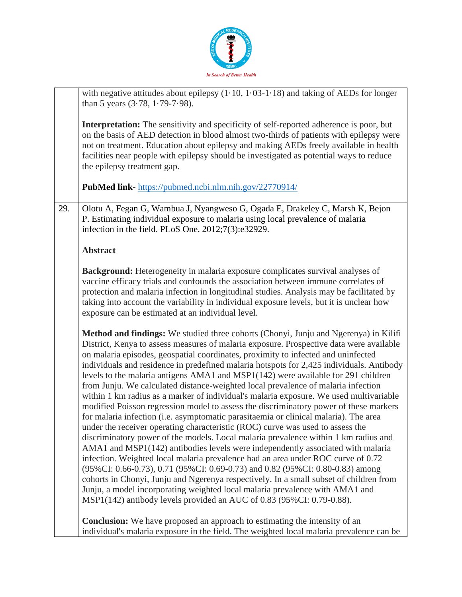

|     | with negative attitudes about epilepsy $(1.10, 1.03-1.18)$ and taking of AEDs for longer<br>than 5 years $(3.78, 1.79 - 7.98)$ .                                                                                                                                                                                                                                                                                                                                                                                                                                                                                                                                                                                                                                                                                                                                                                                                                                                                                                                                                                                                                                                                                                                                                                                                                                                                                                                                                                                                                                                                  |
|-----|---------------------------------------------------------------------------------------------------------------------------------------------------------------------------------------------------------------------------------------------------------------------------------------------------------------------------------------------------------------------------------------------------------------------------------------------------------------------------------------------------------------------------------------------------------------------------------------------------------------------------------------------------------------------------------------------------------------------------------------------------------------------------------------------------------------------------------------------------------------------------------------------------------------------------------------------------------------------------------------------------------------------------------------------------------------------------------------------------------------------------------------------------------------------------------------------------------------------------------------------------------------------------------------------------------------------------------------------------------------------------------------------------------------------------------------------------------------------------------------------------------------------------------------------------------------------------------------------------|
|     | <b>Interpretation:</b> The sensitivity and specificity of self-reported adherence is poor, but<br>on the basis of AED detection in blood almost two-thirds of patients with epilepsy were<br>not on treatment. Education about epilepsy and making AEDs freely available in health<br>facilities near people with epilepsy should be investigated as potential ways to reduce<br>the epilepsy treatment gap.                                                                                                                                                                                                                                                                                                                                                                                                                                                                                                                                                                                                                                                                                                                                                                                                                                                                                                                                                                                                                                                                                                                                                                                      |
|     | PubMed link- https://pubmed.ncbi.nlm.nih.gov/22770914/                                                                                                                                                                                                                                                                                                                                                                                                                                                                                                                                                                                                                                                                                                                                                                                                                                                                                                                                                                                                                                                                                                                                                                                                                                                                                                                                                                                                                                                                                                                                            |
| 29. | Olotu A, Fegan G, Wambua J, Nyangweso G, Ogada E, Drakeley C, Marsh K, Bejon<br>P. Estimating individual exposure to malaria using local prevalence of malaria<br>infection in the field. PLoS One. 2012;7(3):e32929.                                                                                                                                                                                                                                                                                                                                                                                                                                                                                                                                                                                                                                                                                                                                                                                                                                                                                                                                                                                                                                                                                                                                                                                                                                                                                                                                                                             |
|     | <b>Abstract</b>                                                                                                                                                                                                                                                                                                                                                                                                                                                                                                                                                                                                                                                                                                                                                                                                                                                                                                                                                                                                                                                                                                                                                                                                                                                                                                                                                                                                                                                                                                                                                                                   |
|     | Background: Heterogeneity in malaria exposure complicates survival analyses of<br>vaccine efficacy trials and confounds the association between immune correlates of<br>protection and malaria infection in longitudinal studies. Analysis may be facilitated by<br>taking into account the variability in individual exposure levels, but it is unclear how<br>exposure can be estimated at an individual level.                                                                                                                                                                                                                                                                                                                                                                                                                                                                                                                                                                                                                                                                                                                                                                                                                                                                                                                                                                                                                                                                                                                                                                                 |
|     | Method and findings: We studied three cohorts (Chonyi, Junju and Ngerenya) in Kilifi<br>District, Kenya to assess measures of malaria exposure. Prospective data were available<br>on malaria episodes, geospatial coordinates, proximity to infected and uninfected<br>individuals and residence in predefined malaria hotspots for 2,425 individuals. Antibody<br>levels to the malaria antigens AMA1 and MSP1(142) were available for 291 children<br>from Junju. We calculated distance-weighted local prevalence of malaria infection<br>within 1 km radius as a marker of individual's malaria exposure. We used multivariable<br>modified Poisson regression model to assess the discriminatory power of these markers<br>for malaria infection (i.e. asymptomatic parasitaemia or clinical malaria). The area<br>under the receiver operating characteristic (ROC) curve was used to assess the<br>discriminatory power of the models. Local malaria prevalence within 1 km radius and<br>AMA1 and MSP1(142) antibodies levels were independently associated with malaria<br>infection. Weighted local malaria prevalence had an area under ROC curve of 0.72<br>(95% CI: 0.66-0.73), 0.71 (95% CI: 0.69-0.73) and 0.82 (95% CI: 0.80-0.83) among<br>cohorts in Chonyi, Junju and Ngerenya respectively. In a small subset of children from<br>Junju, a model incorporating weighted local malaria prevalence with AMA1 and<br>MSP1(142) antibody levels provided an AUC of 0.83 (95%CI: 0.79-0.88).<br><b>Conclusion:</b> We have proposed an approach to estimating the intensity of an |

individual's malaria exposure in the field. The weighted local malaria prevalence can be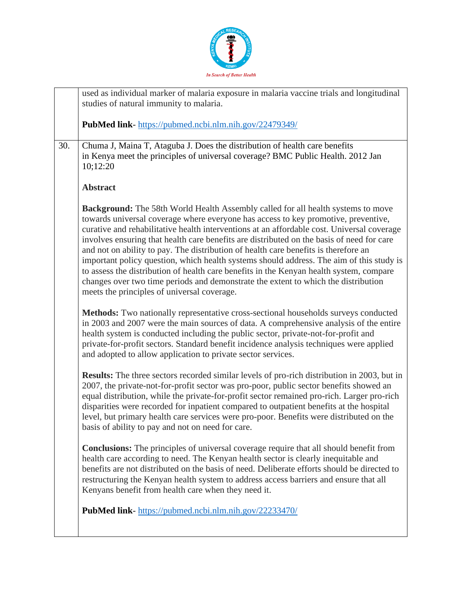

used as individual marker of malaria exposure in malaria vaccine trials and longitudinal studies of natural immunity to malaria. PubMed link- <https://pubmed.ncbi.nlm.nih.gov/22479349/> 30. Chuma J, Maina T, Ataguba J. Does the distribution of health care benefits in Kenya meet the principles of universal coverage? BMC Public Health. 2012 Jan 10;12:20 **Abstract Background:** The 58th World Health Assembly called for all health systems to move towards universal coverage where everyone has access to key promotive, preventive, curative and rehabilitative health interventions at an affordable cost. Universal coverage involves ensuring that health care benefits are distributed on the basis of need for care and not on ability to pay. The distribution of health care benefits is therefore an important policy question, which health systems should address. The aim of this study is to assess the distribution of health care benefits in the Kenyan health system, compare changes over two time periods and demonstrate the extent to which the distribution meets the principles of universal coverage. **Methods:** Two nationally representative cross-sectional households surveys conducted in 2003 and 2007 were the main sources of data. A comprehensive analysis of the entire health system is conducted including the public sector, private-not-for-profit and private-for-profit sectors. Standard benefit incidence analysis techniques were applied and adopted to allow application to private sector services. **Results:** The three sectors recorded similar levels of pro-rich distribution in 2003, but in 2007, the private-not-for-profit sector was pro-poor, public sector benefits showed an equal distribution, while the private-for-profit sector remained pro-rich. Larger pro-rich disparities were recorded for inpatient compared to outpatient benefits at the hospital level, but primary health care services were pro-poor. Benefits were distributed on the basis of ability to pay and not on need for care. **Conclusions:** The principles of universal coverage require that all should benefit from health care according to need. The Kenyan health sector is clearly inequitable and benefits are not distributed on the basis of need. Deliberate efforts should be directed to restructuring the Kenyan health system to address access barriers and ensure that all Kenyans benefit from health care when they need it. **PubMed link**- <https://pubmed.ncbi.nlm.nih.gov/22233470/>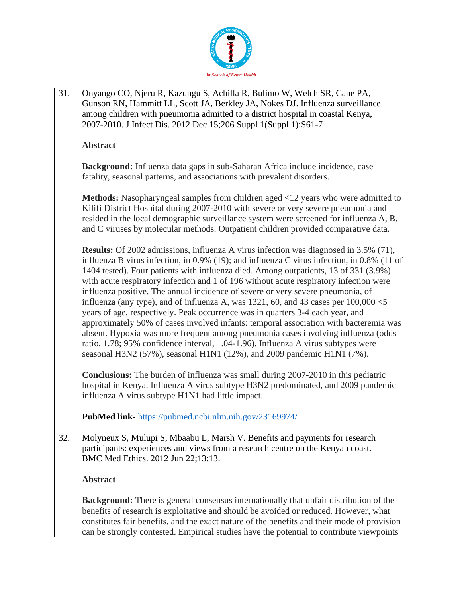

| 31. | Onyango CO, Njeru R, Kazungu S, Achilla R, Bulimo W, Welch SR, Cane PA,<br>Gunson RN, Hammitt LL, Scott JA, Berkley JA, Nokes DJ. Influenza surveillance<br>among children with pneumonia admitted to a district hospital in coastal Kenya,<br>2007-2010. J Infect Dis. 2012 Dec 15;206 Suppl 1(Suppl 1):S61-7                                                                                                                                                                                                                                                                                                                                                                                                                                                                                                                                                                                                                                                                          |
|-----|-----------------------------------------------------------------------------------------------------------------------------------------------------------------------------------------------------------------------------------------------------------------------------------------------------------------------------------------------------------------------------------------------------------------------------------------------------------------------------------------------------------------------------------------------------------------------------------------------------------------------------------------------------------------------------------------------------------------------------------------------------------------------------------------------------------------------------------------------------------------------------------------------------------------------------------------------------------------------------------------|
|     | <b>Abstract</b>                                                                                                                                                                                                                                                                                                                                                                                                                                                                                                                                                                                                                                                                                                                                                                                                                                                                                                                                                                         |
|     | Background: Influenza data gaps in sub-Saharan Africa include incidence, case<br>fatality, seasonal patterns, and associations with prevalent disorders.                                                                                                                                                                                                                                                                                                                                                                                                                                                                                                                                                                                                                                                                                                                                                                                                                                |
|     | Methods: Nasopharyngeal samples from children aged <12 years who were admitted to<br>Kilifi District Hospital during 2007-2010 with severe or very severe pneumonia and<br>resided in the local demographic surveillance system were screened for influenza A, B,<br>and C viruses by molecular methods. Outpatient children provided comparative data.                                                                                                                                                                                                                                                                                                                                                                                                                                                                                                                                                                                                                                 |
|     | <b>Results:</b> Of 2002 admissions, influenza A virus infection was diagnosed in 3.5% (71),<br>influenza B virus infection, in 0.9% (19); and influenza C virus infection, in 0.8% (11 of<br>1404 tested). Four patients with influenza died. Among outpatients, 13 of 331 (3.9%)<br>with acute respiratory infection and 1 of 196 without acute respiratory infection were<br>influenza positive. The annual incidence of severe or very severe pneumonia, of<br>influenza (any type), and of influenza A, was 1321, 60, and 43 cases per $100,000 < 5$<br>years of age, respectively. Peak occurrence was in quarters 3-4 each year, and<br>approximately 50% of cases involved infants: temporal association with bacteremia was<br>absent. Hypoxia was more frequent among pneumonia cases involving influenza (odds<br>ratio, 1.78; 95% confidence interval, 1.04-1.96). Influenza A virus subtypes were<br>seasonal H3N2 (57%), seasonal H1N1 (12%), and 2009 pandemic H1N1 (7%). |
|     | <b>Conclusions:</b> The burden of influenza was small during 2007-2010 in this pediatric<br>hospital in Kenya. Influenza A virus subtype H3N2 predominated, and 2009 pandemic<br>influenza A virus subtype H1N1 had little impact.                                                                                                                                                                                                                                                                                                                                                                                                                                                                                                                                                                                                                                                                                                                                                      |
|     | PubMed link-https://pubmed.ncbi.nlm.nih.gov/23169974/                                                                                                                                                                                                                                                                                                                                                                                                                                                                                                                                                                                                                                                                                                                                                                                                                                                                                                                                   |
| 32. | Molyneux S, Mulupi S, Mbaabu L, Marsh V. Benefits and payments for research<br>participants: experiences and views from a research centre on the Kenyan coast.<br>BMC Med Ethics. 2012 Jun 22;13:13.                                                                                                                                                                                                                                                                                                                                                                                                                                                                                                                                                                                                                                                                                                                                                                                    |
|     | <b>Abstract</b>                                                                                                                                                                                                                                                                                                                                                                                                                                                                                                                                                                                                                                                                                                                                                                                                                                                                                                                                                                         |
|     | <b>Background:</b> There is general consensus internationally that unfair distribution of the<br>benefits of research is exploitative and should be avoided or reduced. However, what<br>constitutes fair benefits, and the exact nature of the benefits and their mode of provision<br>can be strongly contested. Empirical studies have the potential to contribute viewpoints                                                                                                                                                                                                                                                                                                                                                                                                                                                                                                                                                                                                        |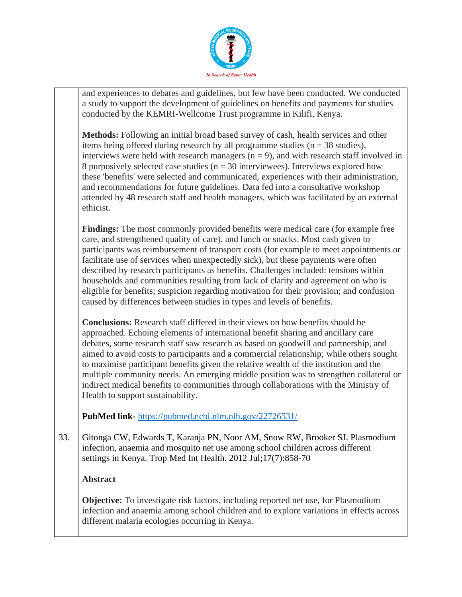

|     | and experiences to debates and guidelines, but few have been conducted. We conducted<br>a study to support the development of guidelines on benefits and payments for studies<br>conducted by the KEMRI-Wellcome Trust programme in Kilifi, Kenya.                                                                                                                                                                                                                                                                                                                                                                                                                                                                                  |
|-----|-------------------------------------------------------------------------------------------------------------------------------------------------------------------------------------------------------------------------------------------------------------------------------------------------------------------------------------------------------------------------------------------------------------------------------------------------------------------------------------------------------------------------------------------------------------------------------------------------------------------------------------------------------------------------------------------------------------------------------------|
|     | Methods: Following an initial broad based survey of cash, health services and other<br>items being offered during research by all programme studies ( $n = 38$ studies),<br>interviews were held with research managers $(n = 9)$ , and with research staff involved in<br>8 purposively selected case studies ( $n = 30$ interviewees). Interviews explored how<br>these 'benefits' were selected and communicated, experiences with their administration,<br>and recommendations for future guidelines. Data fed into a consultative workshop<br>attended by 48 research staff and health managers, which was facilitated by an external<br>ethicist.                                                                             |
|     | <b>Findings:</b> The most commonly provided benefits were medical care (for example free<br>care, and strengthened quality of care), and lunch or snacks. Most cash given to<br>participants was reimbursement of transport costs (for example to meet appointments or<br>facilitate use of services when unexpectedly sick), but these payments were often<br>described by research participants as benefits. Challenges included: tensions within<br>households and communities resulting from lack of clarity and agreement on who is<br>eligible for benefits; suspicion regarding motivation for their provision; and confusion<br>caused by differences between studies in types and levels of benefits.                      |
|     | <b>Conclusions:</b> Research staff differed in their views on how benefits should be<br>approached. Echoing elements of international benefit sharing and ancillary care<br>debates, some research staff saw research as based on goodwill and partnership, and<br>aimed to avoid costs to participants and a commercial relationship; while others sought<br>to maximise participant benefits given the relative wealth of the institution and the<br>multiple community needs. An emerging middle position was to strengthen collateral or<br>indirect medical benefits to communities through collaborations with the Ministry of<br>Health to support sustainability.<br>PubMed link- https://pubmed.ncbi.nlm.nih.gov/22726531/ |
|     |                                                                                                                                                                                                                                                                                                                                                                                                                                                                                                                                                                                                                                                                                                                                     |
| 33. | Gitonga CW, Edwards T, Karanja PN, Noor AM, Snow RW, Brooker SJ. Plasmodium<br>infection, anaemia and mosquito net use among school children across different<br>settings in Kenya. Trop Med Int Health. 2012 Jul;17(7):858-70                                                                                                                                                                                                                                                                                                                                                                                                                                                                                                      |
|     | <b>Abstract</b>                                                                                                                                                                                                                                                                                                                                                                                                                                                                                                                                                                                                                                                                                                                     |
|     | <b>Objective:</b> To investigate risk factors, including reported net use, for Plasmodium<br>infection and anaemia among school children and to explore variations in effects across<br>different malaria ecologies occurring in Kenya.                                                                                                                                                                                                                                                                                                                                                                                                                                                                                             |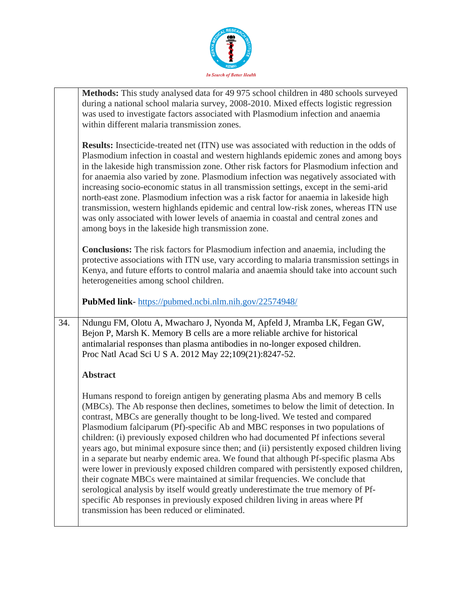

| Methods: This study analysed data for 49 975 school children in 480 schools surveyed<br>during a national school malaria survey, 2008-2010. Mixed effects logistic regression<br>was used to investigate factors associated with Plasmodium infection and anaemia<br>within different malaria transmission zones.                                                                                                                                                                                                                                                                                                                                                                                                                                                                             |
|-----------------------------------------------------------------------------------------------------------------------------------------------------------------------------------------------------------------------------------------------------------------------------------------------------------------------------------------------------------------------------------------------------------------------------------------------------------------------------------------------------------------------------------------------------------------------------------------------------------------------------------------------------------------------------------------------------------------------------------------------------------------------------------------------|
| <b>Results:</b> Insecticide-treated net (ITN) use was associated with reduction in the odds of<br>Plasmodium infection in coastal and western highlands epidemic zones and among boys<br>in the lakeside high transmission zone. Other risk factors for Plasmodium infection and<br>for anaemia also varied by zone. Plasmodium infection was negatively associated with<br>increasing socio-economic status in all transmission settings, except in the semi-arid<br>north-east zone. Plasmodium infection was a risk factor for anaemia in lakeside high<br>transmission, western highlands epidemic and central low-risk zones, whereas ITN use<br>was only associated with lower levels of anaemia in coastal and central zones and<br>among boys in the lakeside high transmission zone. |
| <b>Conclusions:</b> The risk factors for Plasmodium infection and anaemia, including the<br>protective associations with ITN use, vary according to malaria transmission settings in<br>Kenya, and future efforts to control malaria and anaemia should take into account such<br>heterogeneities among school children.                                                                                                                                                                                                                                                                                                                                                                                                                                                                      |
| <b>PubMed link-</b> https://pubmed.ncbi.nlm.nih.gov/22574948/                                                                                                                                                                                                                                                                                                                                                                                                                                                                                                                                                                                                                                                                                                                                 |
| Ndungu FM, Olotu A, Mwacharo J, Nyonda M, Apfeld J, Mramba LK, Fegan GW,                                                                                                                                                                                                                                                                                                                                                                                                                                                                                                                                                                                                                                                                                                                      |
| Bejon P, Marsh K. Memory B cells are a more reliable archive for historical<br>antimalarial responses than plasma antibodies in no-longer exposed children.<br>Proc Natl Acad Sci U S A. 2012 May 22;109(21):8247-52.                                                                                                                                                                                                                                                                                                                                                                                                                                                                                                                                                                         |
| <b>Abstract</b>                                                                                                                                                                                                                                                                                                                                                                                                                                                                                                                                                                                                                                                                                                                                                                               |
|                                                                                                                                                                                                                                                                                                                                                                                                                                                                                                                                                                                                                                                                                                                                                                                               |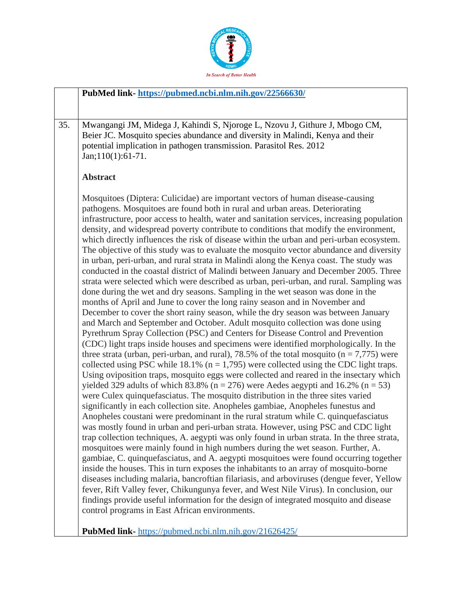

|     | PubMed link-https://pubmed.ncbi.nlm.nih.gov/22566630/                                                                                                                                                                                                                                                                                                                                                                                                                                                                                                                                                                                                                                                                                                                                                                                                                                                                                                                                                                                                                                                                                                                                                                                                                                                                                                                                                                                                                                                                                                                                                                                                                                                                                                                                                                                                                                                                                                                                                                                                                                                                                                                                                                                                                                                                                                                                                                                                                                                                                                                                                                                                                                                                                                                                          |
|-----|------------------------------------------------------------------------------------------------------------------------------------------------------------------------------------------------------------------------------------------------------------------------------------------------------------------------------------------------------------------------------------------------------------------------------------------------------------------------------------------------------------------------------------------------------------------------------------------------------------------------------------------------------------------------------------------------------------------------------------------------------------------------------------------------------------------------------------------------------------------------------------------------------------------------------------------------------------------------------------------------------------------------------------------------------------------------------------------------------------------------------------------------------------------------------------------------------------------------------------------------------------------------------------------------------------------------------------------------------------------------------------------------------------------------------------------------------------------------------------------------------------------------------------------------------------------------------------------------------------------------------------------------------------------------------------------------------------------------------------------------------------------------------------------------------------------------------------------------------------------------------------------------------------------------------------------------------------------------------------------------------------------------------------------------------------------------------------------------------------------------------------------------------------------------------------------------------------------------------------------------------------------------------------------------------------------------------------------------------------------------------------------------------------------------------------------------------------------------------------------------------------------------------------------------------------------------------------------------------------------------------------------------------------------------------------------------------------------------------------------------------------------------------------------------|
|     |                                                                                                                                                                                                                                                                                                                                                                                                                                                                                                                                                                                                                                                                                                                                                                                                                                                                                                                                                                                                                                                                                                                                                                                                                                                                                                                                                                                                                                                                                                                                                                                                                                                                                                                                                                                                                                                                                                                                                                                                                                                                                                                                                                                                                                                                                                                                                                                                                                                                                                                                                                                                                                                                                                                                                                                                |
| 35. | Mwangangi JM, Midega J, Kahindi S, Njoroge L, Nzovu J, Githure J, Mbogo CM,<br>Beier JC. Mosquito species abundance and diversity in Malindi, Kenya and their<br>potential implication in pathogen transmission. Parasitol Res. 2012<br>$Jan;110(1):61-71.$                                                                                                                                                                                                                                                                                                                                                                                                                                                                                                                                                                                                                                                                                                                                                                                                                                                                                                                                                                                                                                                                                                                                                                                                                                                                                                                                                                                                                                                                                                                                                                                                                                                                                                                                                                                                                                                                                                                                                                                                                                                                                                                                                                                                                                                                                                                                                                                                                                                                                                                                    |
|     | <b>Abstract</b>                                                                                                                                                                                                                                                                                                                                                                                                                                                                                                                                                                                                                                                                                                                                                                                                                                                                                                                                                                                                                                                                                                                                                                                                                                                                                                                                                                                                                                                                                                                                                                                                                                                                                                                                                                                                                                                                                                                                                                                                                                                                                                                                                                                                                                                                                                                                                                                                                                                                                                                                                                                                                                                                                                                                                                                |
|     | Mosquitoes (Diptera: Culicidae) are important vectors of human disease-causing<br>pathogens. Mosquitoes are found both in rural and urban areas. Deteriorating<br>infrastructure, poor access to health, water and sanitation services, increasing population<br>density, and widespread poverty contribute to conditions that modify the environment,<br>which directly influences the risk of disease within the urban and peri-urban ecosystem.<br>The objective of this study was to evaluate the mosquito vector abundance and diversity<br>in urban, peri-urban, and rural strata in Malindi along the Kenya coast. The study was<br>conducted in the coastal district of Malindi between January and December 2005. Three<br>strata were selected which were described as urban, peri-urban, and rural. Sampling was<br>done during the wet and dry seasons. Sampling in the wet season was done in the<br>months of April and June to cover the long rainy season and in November and<br>December to cover the short rainy season, while the dry season was between January<br>and March and September and October. Adult mosquito collection was done using<br>Pyrethrum Spray Collection (PSC) and Centers for Disease Control and Prevention<br>(CDC) light traps inside houses and specimens were identified morphologically. In the<br>three strata (urban, peri-urban, and rural), 78.5% of the total mosquito ( $n = 7,775$ ) were<br>collected using PSC while 18.1% ( $n = 1,795$ ) were collected using the CDC light traps.<br>Using oviposition traps, mosquito eggs were collected and reared in the insectary which<br>yielded 329 adults of which 83.8% ( $n = 276$ ) were Aedes aegypti and 16.2% ( $n = 53$ )<br>were Culex quinquefasciatus. The mosquito distribution in the three sites varied<br>significantly in each collection site. Anopheles gambiae, Anopheles funestus and<br>Anopheles coustani were predominant in the rural stratum while C. quinquefasciatus<br>was mostly found in urban and peri-urban strata. However, using PSC and CDC light<br>trap collection techniques, A. aegypti was only found in urban strata. In the three strata,<br>mosquitoes were mainly found in high numbers during the wet season. Further, A.<br>gambiae, C. quinquefasciatus, and A. aegypti mosquitoes were found occurring together<br>inside the houses. This in turn exposes the inhabitants to an array of mosquito-borne<br>diseases including malaria, bancroftian filariasis, and arboviruses (dengue fever, Yellow<br>fever, Rift Valley fever, Chikungunya fever, and West Nile Virus). In conclusion, our<br>findings provide useful information for the design of integrated mosquito and disease<br>control programs in East African environments. |

**PubMed link-** <https://pubmed.ncbi.nlm.nih.gov/21626425/>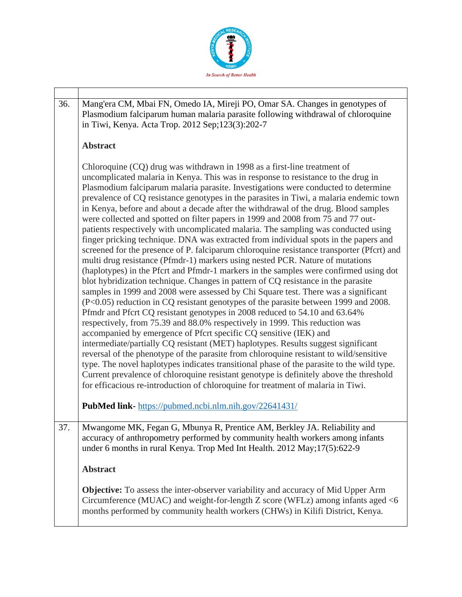

36. Mang'era CM, Mbai FN, Omedo IA, Mireji PO, Omar SA. Changes in genotypes of Plasmodium falciparum human malaria parasite following withdrawal of chloroquine in Tiwi, Kenya. Acta Trop. 2012 Sep;123(3):202-7 **Abstract** Chloroquine (CQ) drug was withdrawn in 1998 as a first-line treatment of uncomplicated malaria in Kenya. This was in response to resistance to the drug in Plasmodium falciparum malaria parasite. Investigations were conducted to determine prevalence of CQ resistance genotypes in the parasites in Tiwi, a malaria endemic town in Kenya, before and about a decade after the withdrawal of the drug. Blood samples were collected and spotted on filter papers in 1999 and 2008 from 75 and 77 outpatients respectively with uncomplicated malaria. The sampling was conducted using finger pricking technique. DNA was extracted from individual spots in the papers and screened for the presence of P. falciparum chloroquine resistance transporter (Pfcrt) and multi drug resistance (Pfmdr-1) markers using nested PCR. Nature of mutations (haplotypes) in the Pfcrt and Pfmdr-1 markers in the samples were confirmed using dot blot hybridization technique. Changes in pattern of CQ resistance in the parasite samples in 1999 and 2008 were assessed by Chi Square test. There was a significant (P<0.05) reduction in CQ resistant genotypes of the parasite between 1999 and 2008. Pfmdr and Pfcrt CQ resistant genotypes in 2008 reduced to 54.10 and 63.64% respectively, from 75.39 and 88.0% respectively in 1999. This reduction was accompanied by emergence of Pfcrt specific CQ sensitive (IEK) and intermediate/partially CQ resistant (MET) haplotypes. Results suggest significant reversal of the phenotype of the parasite from chloroquine resistant to wild/sensitive type. The novel haplotypes indicates transitional phase of the parasite to the wild type. Current prevalence of chloroquine resistant genotype is definitely above the threshold for efficacious re-introduction of chloroquine for treatment of malaria in Tiwi. **PubMed link**- <https://pubmed.ncbi.nlm.nih.gov/22641431/> 37. Mwangome MK, Fegan G, Mbunya R, Prentice AM, Berkley JA. Reliability and accuracy of anthropometry performed by community health workers among infants under 6 months in rural Kenya. Trop Med Int Health. 2012 May;17(5):622-9 **Abstract Objective:** To assess the inter-observer variability and accuracy of Mid Upper Arm Circumference (MUAC) and weight-for-length Z score (WFLz) among infants aged <6 months performed by community health workers (CHWs) in Kilifi District, Kenya.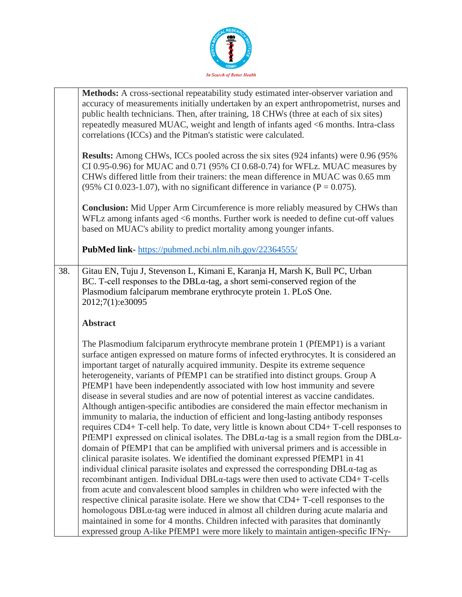

|     | Methods: A cross-sectional repeatability study estimated inter-observer variation and<br>accuracy of measurements initially undertaken by an expert anthropometrist, nurses and<br>public health technicians. Then, after training, 18 CHWs (three at each of six sites)<br>repeatedly measured MUAC, weight and length of infants aged <6 months. Intra-class<br>correlations (ICCs) and the Pitman's statistic were calculated.                                                                                                                                                                                                                                                                                                                                                                                                                                                                                                                                                                                                                                                                                                                                                                                                                                                                                                                                                                                                                                                                                                                                                                                                                                                                |
|-----|--------------------------------------------------------------------------------------------------------------------------------------------------------------------------------------------------------------------------------------------------------------------------------------------------------------------------------------------------------------------------------------------------------------------------------------------------------------------------------------------------------------------------------------------------------------------------------------------------------------------------------------------------------------------------------------------------------------------------------------------------------------------------------------------------------------------------------------------------------------------------------------------------------------------------------------------------------------------------------------------------------------------------------------------------------------------------------------------------------------------------------------------------------------------------------------------------------------------------------------------------------------------------------------------------------------------------------------------------------------------------------------------------------------------------------------------------------------------------------------------------------------------------------------------------------------------------------------------------------------------------------------------------------------------------------------------------|
|     | <b>Results:</b> Among CHWs, ICCs pooled across the six sites (924 infants) were 0.96 (95%<br>CI 0.95-0.96) for MUAC and 0.71 (95% CI 0.68-0.74) for WFLz. MUAC measures by<br>CHWs differed little from their trainers: the mean difference in MUAC was 0.65 mm<br>(95% CI 0.023-1.07), with no significant difference in variance ( $P = 0.075$ ).                                                                                                                                                                                                                                                                                                                                                                                                                                                                                                                                                                                                                                                                                                                                                                                                                                                                                                                                                                                                                                                                                                                                                                                                                                                                                                                                              |
|     | <b>Conclusion:</b> Mid Upper Arm Circumference is more reliably measured by CHWs than<br>WFLz among infants aged <6 months. Further work is needed to define cut-off values<br>based on MUAC's ability to predict mortality among younger infants.                                                                                                                                                                                                                                                                                                                                                                                                                                                                                                                                                                                                                                                                                                                                                                                                                                                                                                                                                                                                                                                                                                                                                                                                                                                                                                                                                                                                                                               |
|     | PubMed link- https://pubmed.ncbi.nlm.nih.gov/22364555/                                                                                                                                                                                                                                                                                                                                                                                                                                                                                                                                                                                                                                                                                                                                                                                                                                                                                                                                                                                                                                                                                                                                                                                                                                                                                                                                                                                                                                                                                                                                                                                                                                           |
| 38. | Gitau EN, Tuju J, Stevenson L, Kimani E, Karanja H, Marsh K, Bull PC, Urban<br>BC. T-cell responses to the DBLα-tag, a short semi-conserved region of the<br>Plasmodium falciparum membrane erythrocyte protein 1. PLoS One.<br>2012;7(1):e30095                                                                                                                                                                                                                                                                                                                                                                                                                                                                                                                                                                                                                                                                                                                                                                                                                                                                                                                                                                                                                                                                                                                                                                                                                                                                                                                                                                                                                                                 |
|     | <b>Abstract</b>                                                                                                                                                                                                                                                                                                                                                                                                                                                                                                                                                                                                                                                                                                                                                                                                                                                                                                                                                                                                                                                                                                                                                                                                                                                                                                                                                                                                                                                                                                                                                                                                                                                                                  |
|     | The Plasmodium falciparum erythrocyte membrane protein 1 (PfEMP1) is a variant<br>surface antigen expressed on mature forms of infected erythrocytes. It is considered an<br>important target of naturally acquired immunity. Despite its extreme sequence<br>heterogeneity, variants of PfEMP1 can be stratified into distinct groups. Group A<br>PfEMP1 have been independently associated with low host immunity and severe<br>disease in several studies and are now of potential interest as vaccine candidates.<br>Although antigen-specific antibodies are considered the main effector mechanism in<br>immunity to malaria, the induction of efficient and long-lasting antibody responses<br>requires CD4+ T-cell help. To date, very little is known about CD4+ T-cell responses to<br>PfEMP1 expressed on clinical isolates. The $DBL\alpha$ -tag is a small region from the $DBL\alpha$ -<br>domain of PfEMP1 that can be amplified with universal primers and is accessible in<br>clinical parasite isolates. We identified the dominant expressed PfEMP1 in 41<br>individual clinical parasite isolates and expressed the corresponding DBLa-tag as<br>recombinant antigen. Individual DBLα-tags were then used to activate CD4+ T-cells<br>from acute and convalescent blood samples in children who were infected with the<br>respective clinical parasite isolate. Here we show that CD4+ T-cell responses to the<br>homologous DBLa-tag were induced in almost all children during acute malaria and<br>maintained in some for 4 months. Children infected with parasites that dominantly<br>expressed group A-like PfEMP1 were more likely to maintain antigen-specific IFNy- |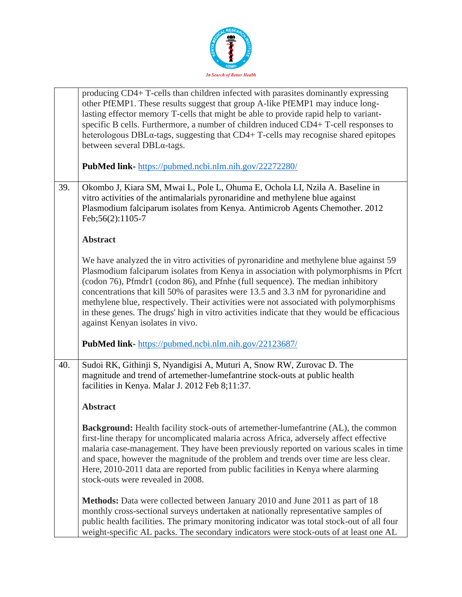

|     | producing CD4+ T-cells than children infected with parasites dominantly expressing<br>other PfEMP1. These results suggest that group A-like PfEMP1 may induce long-<br>lasting effector memory T-cells that might be able to provide rapid help to variant-<br>specific B cells. Furthermore, a number of children induced CD4+ T-cell responses to<br>heterologous DBLa-tags, suggesting that CD4+ T-cells may recognise shared epitopes<br>between several DBLa-tags.                                                                                                              |
|-----|--------------------------------------------------------------------------------------------------------------------------------------------------------------------------------------------------------------------------------------------------------------------------------------------------------------------------------------------------------------------------------------------------------------------------------------------------------------------------------------------------------------------------------------------------------------------------------------|
|     | PubMed link- https://pubmed.ncbi.nlm.nih.gov/22272280/                                                                                                                                                                                                                                                                                                                                                                                                                                                                                                                               |
| 39. | Okombo J, Kiara SM, Mwai L, Pole L, Ohuma E, Ochola LI, Nzila A. Baseline in<br>vitro activities of the antimalarials pyronaridine and methylene blue against<br>Plasmodium falciparum isolates from Kenya. Antimicrob Agents Chemother. 2012.<br>Feb;56(2):1105-7                                                                                                                                                                                                                                                                                                                   |
|     | <b>Abstract</b>                                                                                                                                                                                                                                                                                                                                                                                                                                                                                                                                                                      |
|     | We have analyzed the in vitro activities of pyronaridine and methylene blue against 59<br>Plasmodium falciparum isolates from Kenya in association with polymorphisms in Pfcrt<br>(codon 76), Pfmdr1 (codon 86), and Pfnhe (full sequence). The median inhibitory<br>concentrations that kill 50% of parasites were 13.5 and 3.3 nM for pyronaridine and<br>methylene blue, respectively. Their activities were not associated with polymorphisms<br>in these genes. The drugs' high in vitro activities indicate that they would be efficacious<br>against Kenyan isolates in vivo. |
|     | PubMed link-https://pubmed.ncbi.nlm.nih.gov/22123687/                                                                                                                                                                                                                                                                                                                                                                                                                                                                                                                                |
| 40. | Sudoi RK, Githinji S, Nyandigisi A, Muturi A, Snow RW, Zurovac D. The<br>magnitude and trend of artemether-lumefantrine stock-outs at public health<br>facilities in Kenya. Malar J. 2012 Feb 8;11:37.                                                                                                                                                                                                                                                                                                                                                                               |
|     | <b>Abstract</b>                                                                                                                                                                                                                                                                                                                                                                                                                                                                                                                                                                      |
|     | <b>Background:</b> Health facility stock-outs of artemether-lumefantrine (AL), the common<br>first-line therapy for uncomplicated malaria across Africa, adversely affect effective<br>malaria case-management. They have been previously reported on various scales in time<br>and space, however the magnitude of the problem and trends over time are less clear.<br>Here, 2010-2011 data are reported from public facilities in Kenya where alarming<br>stock-outs were revealed in 2008.                                                                                        |
|     | <b>Methods:</b> Data were collected between January 2010 and June 2011 as part of 18<br>monthly cross-sectional surveys undertaken at nationally representative samples of<br>public health facilities. The primary monitoring indicator was total stock-out of all four<br>weight-specific AL packs. The secondary indicators were stock-outs of at least one AL                                                                                                                                                                                                                    |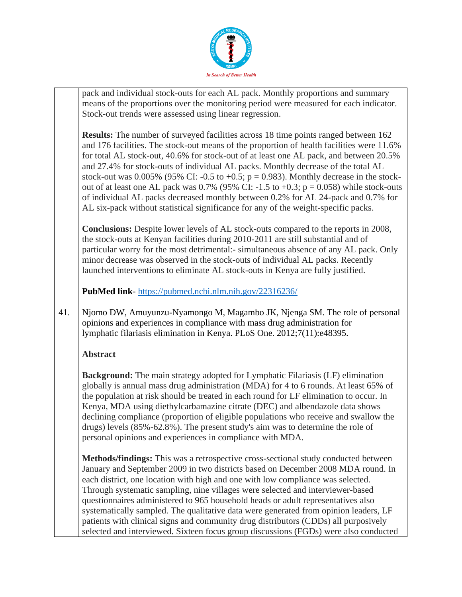

|     | pack and individual stock-outs for each AL pack. Monthly proportions and summary<br>means of the proportions over the monitoring period were measured for each indicator.<br>Stock-out trends were assessed using linear regression.                                                                                                                                                                                                                                                                                                                                                                                                                                                                                                         |
|-----|----------------------------------------------------------------------------------------------------------------------------------------------------------------------------------------------------------------------------------------------------------------------------------------------------------------------------------------------------------------------------------------------------------------------------------------------------------------------------------------------------------------------------------------------------------------------------------------------------------------------------------------------------------------------------------------------------------------------------------------------|
|     | <b>Results:</b> The number of surveyed facilities across 18 time points ranged between 162<br>and 176 facilities. The stock-out means of the proportion of health facilities were 11.6%<br>for total AL stock-out, 40.6% for stock-out of at least one AL pack, and between 20.5%<br>and 27.4% for stock-outs of individual AL packs. Monthly decrease of the total AL<br>stock-out was 0.005% (95% CI: -0.5 to +0.5; $p = 0.983$ ). Monthly decrease in the stock-<br>out of at least one AL pack was 0.7% (95% CI: -1.5 to +0.3; $p = 0.058$ ) while stock-outs<br>of individual AL packs decreased monthly between 0.2% for AL 24-pack and 0.7% for<br>AL six-pack without statistical significance for any of the weight-specific packs. |
|     | <b>Conclusions:</b> Despite lower levels of AL stock-outs compared to the reports in 2008,<br>the stock-outs at Kenyan facilities during 2010-2011 are still substantial and of<br>particular worry for the most detrimental:- simultaneous absence of any AL pack. Only<br>minor decrease was observed in the stock-outs of individual AL packs. Recently<br>launched interventions to eliminate AL stock-outs in Kenya are fully justified.                                                                                                                                                                                                                                                                                                |
|     | PubMed link-https://pubmed.ncbi.nlm.nih.gov/22316236/                                                                                                                                                                                                                                                                                                                                                                                                                                                                                                                                                                                                                                                                                        |
| 41. | Njomo DW, Amuyunzu-Nyamongo M, Magambo JK, Njenga SM. The role of personal<br>opinions and experiences in compliance with mass drug administration for<br>lymphatic filariasis elimination in Kenya. PLoS One. 2012;7(11):e48395.                                                                                                                                                                                                                                                                                                                                                                                                                                                                                                            |
|     | <b>Abstract</b>                                                                                                                                                                                                                                                                                                                                                                                                                                                                                                                                                                                                                                                                                                                              |
|     | <b>Background:</b> The main strategy adopted for Lymphatic Filariasis (LF) elimination<br>globally is annual mass drug administration (MDA) for 4 to 6 rounds. At least 65% of<br>the population at risk should be treated in each round for LF elimination to occur. In<br>Kenya, MDA using diethylcarbamazine citrate (DEC) and albendazole data shows<br>declining compliance (proportion of eligible populations who receive and swallow the<br>drugs) levels (85%-62.8%). The present study's aim was to determine the role of<br>personal opinions and experiences in compliance with MDA.                                                                                                                                             |
|     | <b>Methods/findings:</b> This was a retrospective cross-sectional study conducted between<br>January and September 2009 in two districts based on December 2008 MDA round. In<br>each district, one location with high and one with low compliance was selected.<br>Through systematic sampling, nine villages were selected and interviewer-based<br>questionnaires administered to 965 household heads or adult representatives also<br>systematically sampled. The qualitative data were generated from opinion leaders, LF<br>patients with clinical signs and community drug distributors (CDDs) all purposively<br>selected and interviewed. Sixteen focus group discussions (FGDs) were also conducted                                |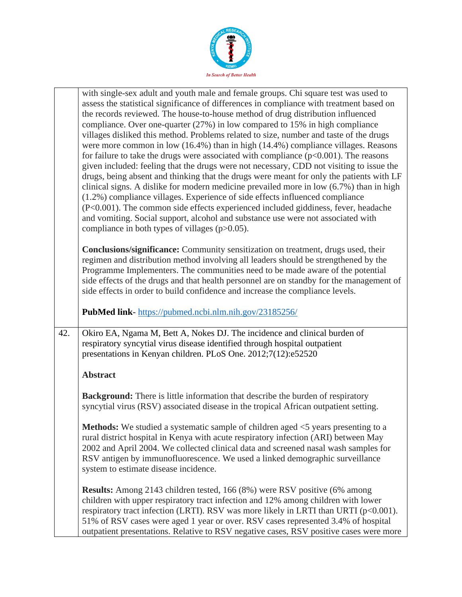

|     | with single-sex adult and youth male and female groups. Chi square test was used to<br>assess the statistical significance of differences in compliance with treatment based on<br>the records reviewed. The house-to-house method of drug distribution influenced<br>compliance. Over one-quarter (27%) in low compared to 15% in high compliance<br>villages disliked this method. Problems related to size, number and taste of the drugs<br>were more common in low (16.4%) than in high (14.4%) compliance villages. Reasons<br>for failure to take the drugs were associated with compliance $(p<0.001)$ . The reasons<br>given included: feeling that the drugs were not necessary, CDD not visiting to issue the<br>drugs, being absent and thinking that the drugs were meant for only the patients with LF<br>clinical signs. A dislike for modern medicine prevailed more in low (6.7%) than in high<br>(1.2%) compliance villages. Experience of side effects influenced compliance<br>(P<0.001). The common side effects experienced included giddiness, fever, headache<br>and vomiting. Social support, alcohol and substance use were not associated with<br>compliance in both types of villages $(p>0.05)$ .<br>Conclusions/significance: Community sensitization on treatment, drugs used, their<br>regimen and distribution method involving all leaders should be strengthened by the<br>Programme Implementers. The communities need to be made aware of the potential<br>side effects of the drugs and that health personnel are on standby for the management of<br>side effects in order to build confidence and increase the compliance levels. |
|-----|---------------------------------------------------------------------------------------------------------------------------------------------------------------------------------------------------------------------------------------------------------------------------------------------------------------------------------------------------------------------------------------------------------------------------------------------------------------------------------------------------------------------------------------------------------------------------------------------------------------------------------------------------------------------------------------------------------------------------------------------------------------------------------------------------------------------------------------------------------------------------------------------------------------------------------------------------------------------------------------------------------------------------------------------------------------------------------------------------------------------------------------------------------------------------------------------------------------------------------------------------------------------------------------------------------------------------------------------------------------------------------------------------------------------------------------------------------------------------------------------------------------------------------------------------------------------------------------------------------------------------------------------------------------------------|
|     | PubMed link-https://pubmed.ncbi.nlm.nih.gov/23185256/                                                                                                                                                                                                                                                                                                                                                                                                                                                                                                                                                                                                                                                                                                                                                                                                                                                                                                                                                                                                                                                                                                                                                                                                                                                                                                                                                                                                                                                                                                                                                                                                                     |
| 42. | Okiro EA, Ngama M, Bett A, Nokes DJ. The incidence and clinical burden of<br>respiratory syncytial virus disease identified through hospital outpatient<br>presentations in Kenyan children. PLoS One. 2012;7(12):e52520                                                                                                                                                                                                                                                                                                                                                                                                                                                                                                                                                                                                                                                                                                                                                                                                                                                                                                                                                                                                                                                                                                                                                                                                                                                                                                                                                                                                                                                  |
|     | <b>Abstract</b>                                                                                                                                                                                                                                                                                                                                                                                                                                                                                                                                                                                                                                                                                                                                                                                                                                                                                                                                                                                                                                                                                                                                                                                                                                                                                                                                                                                                                                                                                                                                                                                                                                                           |
|     | <b>Background:</b> There is little information that describe the burden of respiratory<br>syncytial virus (RSV) associated disease in the tropical African outpatient setting.                                                                                                                                                                                                                                                                                                                                                                                                                                                                                                                                                                                                                                                                                                                                                                                                                                                                                                                                                                                                                                                                                                                                                                                                                                                                                                                                                                                                                                                                                            |
|     | <b>Methods:</b> We studied a systematic sample of children aged <5 years presenting to a<br>rural district hospital in Kenya with acute respiratory infection (ARI) between May<br>2002 and April 2004. We collected clinical data and screened nasal wash samples for<br>RSV antigen by immunofluorescence. We used a linked demographic surveillance<br>system to estimate disease incidence.                                                                                                                                                                                                                                                                                                                                                                                                                                                                                                                                                                                                                                                                                                                                                                                                                                                                                                                                                                                                                                                                                                                                                                                                                                                                           |
|     | <b>Results:</b> Among 2143 children tested, 166 (8%) were RSV positive (6% among<br>children with upper respiratory tract infection and 12% among children with lower<br>respiratory tract infection (LRTI). RSV was more likely in LRTI than URTI ( $p<0.001$ ).<br>51% of RSV cases were aged 1 year or over. RSV cases represented 3.4% of hospital<br>outpatient presentations. Relative to RSV negative cases, RSV positive cases were more                                                                                                                                                                                                                                                                                                                                                                                                                                                                                                                                                                                                                                                                                                                                                                                                                                                                                                                                                                                                                                                                                                                                                                                                                          |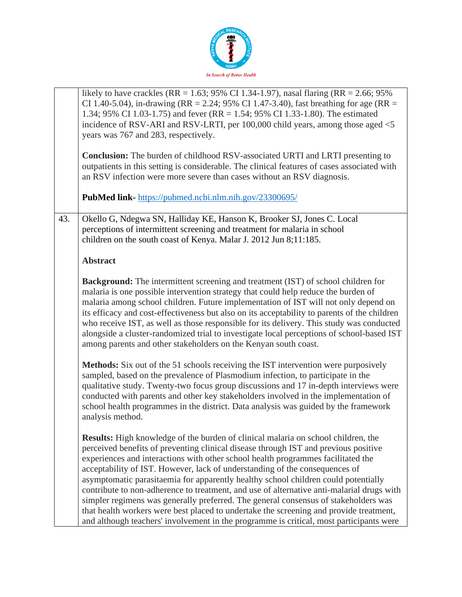

|     | likely to have crackles (RR = 1.63; 95% CI 1.34-1.97), nasal flaring (RR = 2.66; 95%<br>CI 1.40-5.04), in-drawing (RR = 2.24; 95% CI 1.47-3.40), fast breathing for age (RR =<br>1.34; 95% CI 1.03-1.75) and fever (RR = 1.54; 95% CI 1.33-1.80). The estimated<br>incidence of RSV-ARI and RSV-LRTI, per $100,000$ child years, among those aged $\leq 5$<br>years was 767 and 283, respectively.                                                                                                                                                                                                                                                                                                                                                                                                         |
|-----|------------------------------------------------------------------------------------------------------------------------------------------------------------------------------------------------------------------------------------------------------------------------------------------------------------------------------------------------------------------------------------------------------------------------------------------------------------------------------------------------------------------------------------------------------------------------------------------------------------------------------------------------------------------------------------------------------------------------------------------------------------------------------------------------------------|
|     | Conclusion: The burden of childhood RSV-associated URTI and LRTI presenting to<br>outpatients in this setting is considerable. The clinical features of cases associated with<br>an RSV infection were more severe than cases without an RSV diagnosis.                                                                                                                                                                                                                                                                                                                                                                                                                                                                                                                                                    |
|     | PubMed link- https://pubmed.ncbi.nlm.nih.gov/23300695/                                                                                                                                                                                                                                                                                                                                                                                                                                                                                                                                                                                                                                                                                                                                                     |
| 43. | Okello G, Ndegwa SN, Halliday KE, Hanson K, Brooker SJ, Jones C. Local<br>perceptions of intermittent screening and treatment for malaria in school<br>children on the south coast of Kenya. Malar J. 2012 Jun 8;11:185.                                                                                                                                                                                                                                                                                                                                                                                                                                                                                                                                                                                   |
|     | <b>Abstract</b>                                                                                                                                                                                                                                                                                                                                                                                                                                                                                                                                                                                                                                                                                                                                                                                            |
|     | <b>Background:</b> The intermittent screening and treatment (IST) of school children for<br>malaria is one possible intervention strategy that could help reduce the burden of<br>malaria among school children. Future implementation of IST will not only depend on<br>its efficacy and cost-effectiveness but also on its acceptability to parents of the children<br>who receive IST, as well as those responsible for its delivery. This study was conducted<br>alongside a cluster-randomized trial to investigate local perceptions of school-based IST<br>among parents and other stakeholders on the Kenyan south coast.                                                                                                                                                                          |
|     | <b>Methods:</b> Six out of the 51 schools receiving the IST intervention were purposively<br>sampled, based on the prevalence of Plasmodium infection, to participate in the<br>qualitative study. Twenty-two focus group discussions and 17 in-depth interviews were<br>conducted with parents and other key stakeholders involved in the implementation of<br>school health programmes in the district. Data analysis was guided by the framework<br>analysis method.                                                                                                                                                                                                                                                                                                                                    |
|     | Results: High knowledge of the burden of clinical malaria on school children, the<br>perceived benefits of preventing clinical disease through IST and previous positive<br>experiences and interactions with other school health programmes facilitated the<br>acceptability of IST. However, lack of understanding of the consequences of<br>asymptomatic parasitaemia for apparently healthy school children could potentially<br>contribute to non-adherence to treatment, and use of alternative anti-malarial drugs with<br>simpler regimens was generally preferred. The general consensus of stakeholders was<br>that health workers were best placed to undertake the screening and provide treatment,<br>and although teachers' involvement in the programme is critical, most participants were |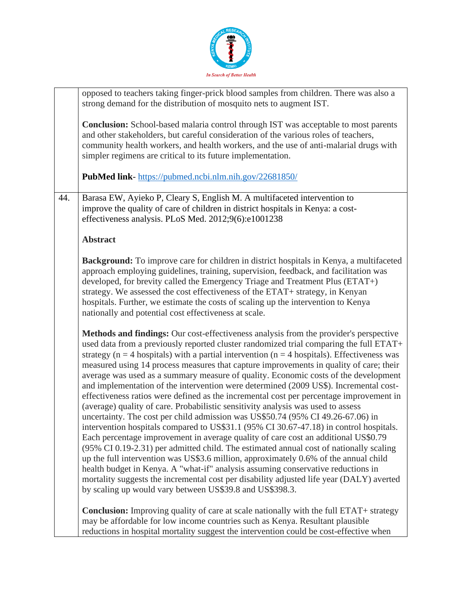

|     | opposed to teachers taking finger-prick blood samples from children. There was also a<br>strong demand for the distribution of mosquito nets to augment IST.                                                                                                                                                                                                                                                                                                                                                                                                                                                                                                                                                                                                                                                                                                                                                                                                                                                                                                                                                                                                                                                                                                                                                                                                                                                                                   |
|-----|------------------------------------------------------------------------------------------------------------------------------------------------------------------------------------------------------------------------------------------------------------------------------------------------------------------------------------------------------------------------------------------------------------------------------------------------------------------------------------------------------------------------------------------------------------------------------------------------------------------------------------------------------------------------------------------------------------------------------------------------------------------------------------------------------------------------------------------------------------------------------------------------------------------------------------------------------------------------------------------------------------------------------------------------------------------------------------------------------------------------------------------------------------------------------------------------------------------------------------------------------------------------------------------------------------------------------------------------------------------------------------------------------------------------------------------------|
|     | <b>Conclusion:</b> School-based malaria control through IST was acceptable to most parents<br>and other stakeholders, but careful consideration of the various roles of teachers,<br>community health workers, and health workers, and the use of anti-malarial drugs with<br>simpler regimens are critical to its future implementation.                                                                                                                                                                                                                                                                                                                                                                                                                                                                                                                                                                                                                                                                                                                                                                                                                                                                                                                                                                                                                                                                                                      |
|     | PubMed link- https://pubmed.ncbi.nlm.nih.gov/22681850/                                                                                                                                                                                                                                                                                                                                                                                                                                                                                                                                                                                                                                                                                                                                                                                                                                                                                                                                                                                                                                                                                                                                                                                                                                                                                                                                                                                         |
| 44. | Barasa EW, Ayieko P, Cleary S, English M. A multifaceted intervention to<br>improve the quality of care of children in district hospitals in Kenya: a cost-<br>effectiveness analysis. PLoS Med. 2012;9(6):e1001238                                                                                                                                                                                                                                                                                                                                                                                                                                                                                                                                                                                                                                                                                                                                                                                                                                                                                                                                                                                                                                                                                                                                                                                                                            |
|     | <b>Abstract</b>                                                                                                                                                                                                                                                                                                                                                                                                                                                                                                                                                                                                                                                                                                                                                                                                                                                                                                                                                                                                                                                                                                                                                                                                                                                                                                                                                                                                                                |
|     | <b>Background:</b> To improve care for children in district hospitals in Kenya, a multifaceted<br>approach employing guidelines, training, supervision, feedback, and facilitation was<br>developed, for brevity called the Emergency Triage and Treatment Plus (ETAT+)<br>strategy. We assessed the cost effectiveness of the ETAT+ strategy, in Kenyan<br>hospitals. Further, we estimate the costs of scaling up the intervention to Kenya<br>nationally and potential cost effectiveness at scale.                                                                                                                                                                                                                                                                                                                                                                                                                                                                                                                                                                                                                                                                                                                                                                                                                                                                                                                                         |
|     | Methods and findings: Our cost-effectiveness analysis from the provider's perspective<br>used data from a previously reported cluster randomized trial comparing the full ETAT+<br>strategy ( $n = 4$ hospitals) with a partial intervention ( $n = 4$ hospitals). Effectiveness was<br>measured using 14 process measures that capture improvements in quality of care; their<br>average was used as a summary measure of quality. Economic costs of the development<br>and implementation of the intervention were determined (2009 US\$). Incremental cost-<br>effectiveness ratios were defined as the incremental cost per percentage improvement in<br>(average) quality of care. Probabilistic sensitivity analysis was used to assess<br>uncertainty. The cost per child admission was US\$50.74 (95% CI 49.26-67.06) in<br>intervention hospitals compared to US\$31.1 (95% CI 30.67-47.18) in control hospitals.<br>Each percentage improvement in average quality of care cost an additional US\$0.79<br>(95% CI 0.19-2.31) per admitted child. The estimated annual cost of nationally scaling<br>up the full intervention was US\$3.6 million, approximately 0.6% of the annual child<br>health budget in Kenya. A "what-if" analysis assuming conservative reductions in<br>mortality suggests the incremental cost per disability adjusted life year (DALY) averted<br>by scaling up would vary between US\$39.8 and US\$398.3. |
|     | Conclusion: Improving quality of care at scale nationally with the full ETAT+ strategy                                                                                                                                                                                                                                                                                                                                                                                                                                                                                                                                                                                                                                                                                                                                                                                                                                                                                                                                                                                                                                                                                                                                                                                                                                                                                                                                                         |

may be affordable for low income countries such as Kenya. Resultant plausible reductions in hospital mortality suggest the intervention could be cost-effective when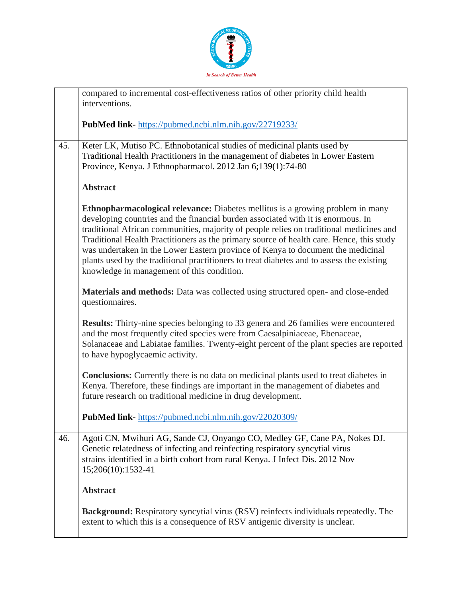

|     | compared to incremental cost-effectiveness ratios of other priority child health                                                                                                                                                                                                                                                                                                                                                                                                                                                                                                               |
|-----|------------------------------------------------------------------------------------------------------------------------------------------------------------------------------------------------------------------------------------------------------------------------------------------------------------------------------------------------------------------------------------------------------------------------------------------------------------------------------------------------------------------------------------------------------------------------------------------------|
|     | interventions.                                                                                                                                                                                                                                                                                                                                                                                                                                                                                                                                                                                 |
|     | PubMed link-https://pubmed.ncbi.nlm.nih.gov/22719233/                                                                                                                                                                                                                                                                                                                                                                                                                                                                                                                                          |
| 45. | Keter LK, Mutiso PC. Ethnobotanical studies of medicinal plants used by<br>Traditional Health Practitioners in the management of diabetes in Lower Eastern<br>Province, Kenya. J Ethnopharmacol. 2012 Jan 6;139(1):74-80                                                                                                                                                                                                                                                                                                                                                                       |
|     | <b>Abstract</b>                                                                                                                                                                                                                                                                                                                                                                                                                                                                                                                                                                                |
|     | <b>Ethnopharmacological relevance:</b> Diabetes mellitus is a growing problem in many<br>developing countries and the financial burden associated with it is enormous. In<br>traditional African communities, majority of people relies on traditional medicines and<br>Traditional Health Practitioners as the primary source of health care. Hence, this study<br>was undertaken in the Lower Eastern province of Kenya to document the medicinal<br>plants used by the traditional practitioners to treat diabetes and to assess the existing<br>knowledge in management of this condition. |
|     | Materials and methods: Data was collected using structured open- and close-ended<br>questionnaires.                                                                                                                                                                                                                                                                                                                                                                                                                                                                                            |
|     | <b>Results:</b> Thirty-nine species belonging to 33 genera and 26 families were encountered<br>and the most frequently cited species were from Caesalpiniaceae, Ebenaceae,<br>Solanaceae and Labiatae families. Twenty-eight percent of the plant species are reported<br>to have hypoglycaemic activity.                                                                                                                                                                                                                                                                                      |
|     | <b>Conclusions:</b> Currently there is no data on medicinal plants used to treat diabetes in<br>Kenya. Therefore, these findings are important in the management of diabetes and<br>future research on traditional medicine in drug development.                                                                                                                                                                                                                                                                                                                                               |
|     | <b>PubMed link-</b> https://pubmed.ncbi.nlm.nih.gov/22020309/                                                                                                                                                                                                                                                                                                                                                                                                                                                                                                                                  |
| 46. | Agoti CN, Mwihuri AG, Sande CJ, Onyango CO, Medley GF, Cane PA, Nokes DJ.<br>Genetic relatedness of infecting and reinfecting respiratory syncytial virus<br>strains identified in a birth cohort from rural Kenya. J Infect Dis. 2012 Nov<br>15;206(10):1532-41                                                                                                                                                                                                                                                                                                                               |
|     | <b>Abstract</b>                                                                                                                                                                                                                                                                                                                                                                                                                                                                                                                                                                                |
|     | <b>Background:</b> Respiratory syncytial virus (RSV) reinfects individuals repeatedly. The<br>extent to which this is a consequence of RSV antigenic diversity is unclear.                                                                                                                                                                                                                                                                                                                                                                                                                     |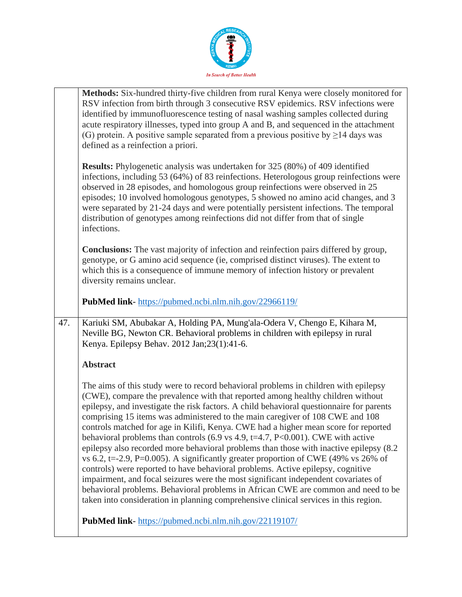

|     | Methods: Six-hundred thirty-five children from rural Kenya were closely monitored for<br>RSV infection from birth through 3 consecutive RSV epidemics. RSV infections were<br>identified by immunofluorescence testing of nasal washing samples collected during<br>acute respiratory illnesses, typed into group A and B, and sequenced in the attachment<br>(G) protein. A positive sample separated from a previous positive by $\geq$ 14 days was<br>defined as a reinfection a priori.                                                                                                                                                                                                                                                                                                                                                                                                                                                                                                                                                                             |
|-----|-------------------------------------------------------------------------------------------------------------------------------------------------------------------------------------------------------------------------------------------------------------------------------------------------------------------------------------------------------------------------------------------------------------------------------------------------------------------------------------------------------------------------------------------------------------------------------------------------------------------------------------------------------------------------------------------------------------------------------------------------------------------------------------------------------------------------------------------------------------------------------------------------------------------------------------------------------------------------------------------------------------------------------------------------------------------------|
|     | <b>Results:</b> Phylogenetic analysis was undertaken for 325 (80%) of 409 identified<br>infections, including 53 (64%) of 83 reinfections. Heterologous group reinfections were<br>observed in 28 episodes, and homologous group reinfections were observed in 25<br>episodes; 10 involved homologous genotypes, 5 showed no amino acid changes, and 3<br>were separated by 21-24 days and were potentially persistent infections. The temporal<br>distribution of genotypes among reinfections did not differ from that of single<br>infections.                                                                                                                                                                                                                                                                                                                                                                                                                                                                                                                       |
|     | <b>Conclusions:</b> The vast majority of infection and reinfection pairs differed by group,<br>genotype, or G amino acid sequence (ie, comprised distinct viruses). The extent to<br>which this is a consequence of immune memory of infection history or prevalent<br>diversity remains unclear.                                                                                                                                                                                                                                                                                                                                                                                                                                                                                                                                                                                                                                                                                                                                                                       |
|     | PubMed link-https://pubmed.ncbi.nlm.nih.gov/22966119/                                                                                                                                                                                                                                                                                                                                                                                                                                                                                                                                                                                                                                                                                                                                                                                                                                                                                                                                                                                                                   |
| 47. | Kariuki SM, Abubakar A, Holding PA, Mung'ala-Odera V, Chengo E, Kihara M,<br>Neville BG, Newton CR. Behavioral problems in children with epilepsy in rural<br>Kenya. Epilepsy Behav. 2012 Jan;23(1):41-6.                                                                                                                                                                                                                                                                                                                                                                                                                                                                                                                                                                                                                                                                                                                                                                                                                                                               |
|     | <b>Abstract</b>                                                                                                                                                                                                                                                                                                                                                                                                                                                                                                                                                                                                                                                                                                                                                                                                                                                                                                                                                                                                                                                         |
|     | The aims of this study were to record behavioral problems in children with epilepsy<br>(CWE), compare the prevalence with that reported among healthy children without<br>epilepsy, and investigate the risk factors. A child behavioral questionnaire for parents<br>comprising 15 items was administered to the main caregiver of 108 CWE and 108<br>controls matched for age in Kilifi, Kenya. CWE had a higher mean score for reported<br>behavioral problems than controls (6.9 vs 4.9, t=4.7, $P<0.001$ ). CWE with active<br>epilepsy also recorded more behavioral problems than those with inactive epilepsy (8.2)<br>vs 6.2, t=-2.9, P=0.005). A significantly greater proportion of CWE (49% vs 26% of<br>controls) were reported to have behavioral problems. Active epilepsy, cognitive<br>impairment, and focal seizures were the most significant independent covariates of<br>behavioral problems. Behavioral problems in African CWE are common and need to be<br>taken into consideration in planning comprehensive clinical services in this region. |
|     | PubMed link-https://pubmed.ncbi.nlm.nih.gov/22119107/                                                                                                                                                                                                                                                                                                                                                                                                                                                                                                                                                                                                                                                                                                                                                                                                                                                                                                                                                                                                                   |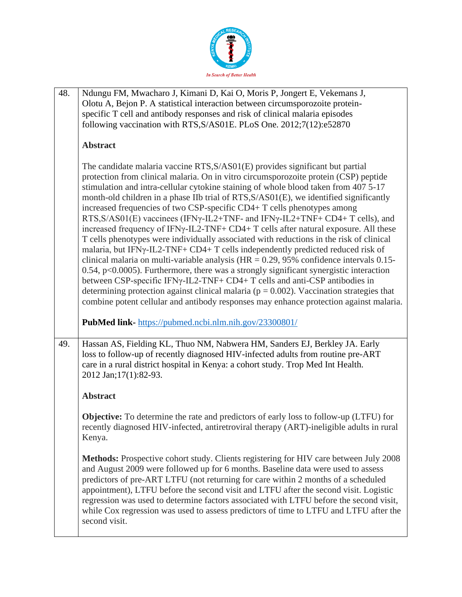

| 48. | Ndungu FM, Mwacharo J, Kimani D, Kai O, Moris P, Jongert E, Vekemans J,                                                                                                                                                                                                                                                                                                                                                                                                                                                                                                                                                                                                                                                                                                                                                                                                                                                                                                                                                                                                                                                                                                                                                                                      |
|-----|--------------------------------------------------------------------------------------------------------------------------------------------------------------------------------------------------------------------------------------------------------------------------------------------------------------------------------------------------------------------------------------------------------------------------------------------------------------------------------------------------------------------------------------------------------------------------------------------------------------------------------------------------------------------------------------------------------------------------------------------------------------------------------------------------------------------------------------------------------------------------------------------------------------------------------------------------------------------------------------------------------------------------------------------------------------------------------------------------------------------------------------------------------------------------------------------------------------------------------------------------------------|
|     | Olotu A, Bejon P. A statistical interaction between circumsporozoite protein-                                                                                                                                                                                                                                                                                                                                                                                                                                                                                                                                                                                                                                                                                                                                                                                                                                                                                                                                                                                                                                                                                                                                                                                |
|     | specific T cell and antibody responses and risk of clinical malaria episodes                                                                                                                                                                                                                                                                                                                                                                                                                                                                                                                                                                                                                                                                                                                                                                                                                                                                                                                                                                                                                                                                                                                                                                                 |
|     | following vaccination with RTS, S/AS01E. PLoS One. 2012;7(12):e52870                                                                                                                                                                                                                                                                                                                                                                                                                                                                                                                                                                                                                                                                                                                                                                                                                                                                                                                                                                                                                                                                                                                                                                                         |
|     |                                                                                                                                                                                                                                                                                                                                                                                                                                                                                                                                                                                                                                                                                                                                                                                                                                                                                                                                                                                                                                                                                                                                                                                                                                                              |
|     | <b>Abstract</b>                                                                                                                                                                                                                                                                                                                                                                                                                                                                                                                                                                                                                                                                                                                                                                                                                                                                                                                                                                                                                                                                                                                                                                                                                                              |
|     | The candidate malaria vaccine RTS, S/AS01(E) provides significant but partial<br>protection from clinical malaria. On in vitro circumsporozoite protein (CSP) peptide<br>stimulation and intra-cellular cytokine staining of whole blood taken from 407 5-17<br>month-old children in a phase IIb trial of RTS, S/AS01(E), we identified significantly<br>increased frequencies of two CSP-specific CD4+ T cells phenotypes among<br>RTS, S/AS01(E) vaccinees (IFNy-IL2+TNF- and IFNy-IL2+TNF+ CD4+ T cells), and<br>increased frequency of IFNy-IL2-TNF+ CD4+ T cells after natural exposure. All these<br>T cells phenotypes were individually associated with reductions in the risk of clinical<br>malaria, but IFNy-IL2-TNF+ CD4+ T cells independently predicted reduced risk of<br>clinical malaria on multi-variable analysis ( $HR = 0.29$ , 95% confidence intervals 0.15-<br>$0.54$ , $p<0.0005$ ). Furthermore, there was a strongly significant synergistic interaction<br>between CSP-specific IFNγ-IL2-TNF+ CD4+ T cells and anti-CSP antibodies in<br>determining protection against clinical malaria ( $p = 0.002$ ). Vaccination strategies that<br>combine potent cellular and antibody responses may enhance protection against malaria. |
|     |                                                                                                                                                                                                                                                                                                                                                                                                                                                                                                                                                                                                                                                                                                                                                                                                                                                                                                                                                                                                                                                                                                                                                                                                                                                              |
|     | PubMed link- https://pubmed.ncbi.nlm.nih.gov/23300801/                                                                                                                                                                                                                                                                                                                                                                                                                                                                                                                                                                                                                                                                                                                                                                                                                                                                                                                                                                                                                                                                                                                                                                                                       |
| 49. | Hassan AS, Fielding KL, Thuo NM, Nabwera HM, Sanders EJ, Berkley JA. Early<br>loss to follow-up of recently diagnosed HIV-infected adults from routine pre-ART<br>care in a rural district hospital in Kenya: a cohort study. Trop Med Int Health.<br>2012 Jan; 17(1): 82-93.                                                                                                                                                                                                                                                                                                                                                                                                                                                                                                                                                                                                                                                                                                                                                                                                                                                                                                                                                                                |
|     | <b>Abstract</b>                                                                                                                                                                                                                                                                                                                                                                                                                                                                                                                                                                                                                                                                                                                                                                                                                                                                                                                                                                                                                                                                                                                                                                                                                                              |
|     | <b>Objective:</b> To determine the rate and predictors of early loss to follow-up (LTFU) for<br>recently diagnosed HIV-infected, antiretroviral therapy (ART)-ineligible adults in rural<br>Kenya.                                                                                                                                                                                                                                                                                                                                                                                                                                                                                                                                                                                                                                                                                                                                                                                                                                                                                                                                                                                                                                                           |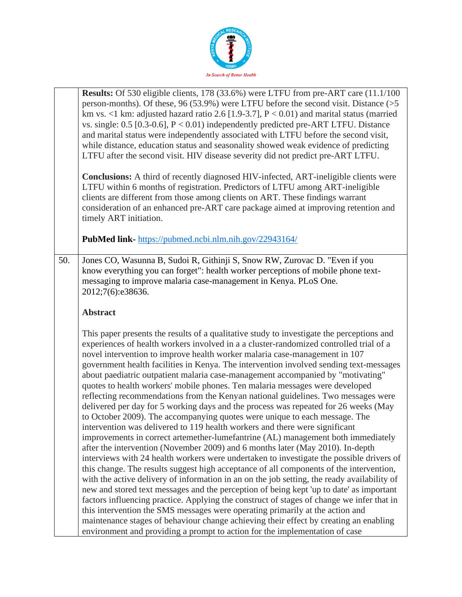

|     | Results: Of 530 eligible clients, 178 (33.6%) were LTFU from pre-ART care (11.1/100<br>person-months). Of these, 96 (53.9%) were LTFU before the second visit. Distance $($ >5<br>km vs. <1 km: adjusted hazard ratio 2.6 [1.9-3.7], $P < 0.01$ and marital status (married<br>vs. single: $0.5$ [0.3-0.6], $P < 0.01$ ) independently predicted pre-ART LTFU. Distance<br>and marital status were independently associated with LTFU before the second visit,<br>while distance, education status and seasonality showed weak evidence of predicting<br>LTFU after the second visit. HIV disease severity did not predict pre-ART LTFU.                                                                                                                                                                                                                                                                                                                                                                                                                                                                                                                                                                                                                                                                                                                                                                                                                                                                                                                                                                                                                                                                                                                                             |
|-----|--------------------------------------------------------------------------------------------------------------------------------------------------------------------------------------------------------------------------------------------------------------------------------------------------------------------------------------------------------------------------------------------------------------------------------------------------------------------------------------------------------------------------------------------------------------------------------------------------------------------------------------------------------------------------------------------------------------------------------------------------------------------------------------------------------------------------------------------------------------------------------------------------------------------------------------------------------------------------------------------------------------------------------------------------------------------------------------------------------------------------------------------------------------------------------------------------------------------------------------------------------------------------------------------------------------------------------------------------------------------------------------------------------------------------------------------------------------------------------------------------------------------------------------------------------------------------------------------------------------------------------------------------------------------------------------------------------------------------------------------------------------------------------------|
|     | <b>Conclusions:</b> A third of recently diagnosed HIV-infected, ART-ineligible clients were<br>LTFU within 6 months of registration. Predictors of LTFU among ART-ineligible<br>clients are different from those among clients on ART. These findings warrant<br>consideration of an enhanced pre-ART care package aimed at improving retention and<br>timely ART initiation.                                                                                                                                                                                                                                                                                                                                                                                                                                                                                                                                                                                                                                                                                                                                                                                                                                                                                                                                                                                                                                                                                                                                                                                                                                                                                                                                                                                                        |
|     | PubMed link-https://pubmed.ncbi.nlm.nih.gov/22943164/                                                                                                                                                                                                                                                                                                                                                                                                                                                                                                                                                                                                                                                                                                                                                                                                                                                                                                                                                                                                                                                                                                                                                                                                                                                                                                                                                                                                                                                                                                                                                                                                                                                                                                                                |
| 50. | Jones CO, Wasunna B, Sudoi R, Githinji S, Snow RW, Zurovac D. "Even if you<br>know everything you can forget": health worker perceptions of mobile phone text-<br>messaging to improve malaria case-management in Kenya. PLoS One.<br>2012;7(6):e38636.                                                                                                                                                                                                                                                                                                                                                                                                                                                                                                                                                                                                                                                                                                                                                                                                                                                                                                                                                                                                                                                                                                                                                                                                                                                                                                                                                                                                                                                                                                                              |
|     | <b>Abstract</b>                                                                                                                                                                                                                                                                                                                                                                                                                                                                                                                                                                                                                                                                                                                                                                                                                                                                                                                                                                                                                                                                                                                                                                                                                                                                                                                                                                                                                                                                                                                                                                                                                                                                                                                                                                      |
|     | This paper presents the results of a qualitative study to investigate the perceptions and<br>experiences of health workers involved in a a cluster-randomized controlled trial of a<br>novel intervention to improve health worker malaria case-management in 107<br>government health facilities in Kenya. The intervention involved sending text-messages<br>about paediatric outpatient malaria case-management accompanied by "motivating"<br>quotes to health workers' mobile phones. Ten malaria messages were developed<br>reflecting recommendations from the Kenyan national guidelines. Two messages were<br>delivered per day for 5 working days and the process was repeated for 26 weeks (May<br>to October 2009). The accompanying quotes were unique to each message. The<br>intervention was delivered to 119 health workers and there were significant<br>improvements in correct artemether-lumefantrine (AL) management both immediately<br>after the intervention (November 2009) and 6 months later (May 2010). In-depth<br>interviews with 24 health workers were undertaken to investigate the possible drivers of<br>this change. The results suggest high acceptance of all components of the intervention,<br>with the active delivery of information in an on the job setting, the ready availability of<br>new and stored text messages and the perception of being kept 'up to date' as important<br>factors influencing practice. Applying the construct of stages of change we infer that in<br>this intervention the SMS messages were operating primarily at the action and<br>maintenance stages of behaviour change achieving their effect by creating an enabling<br>environment and providing a prompt to action for the implementation of case |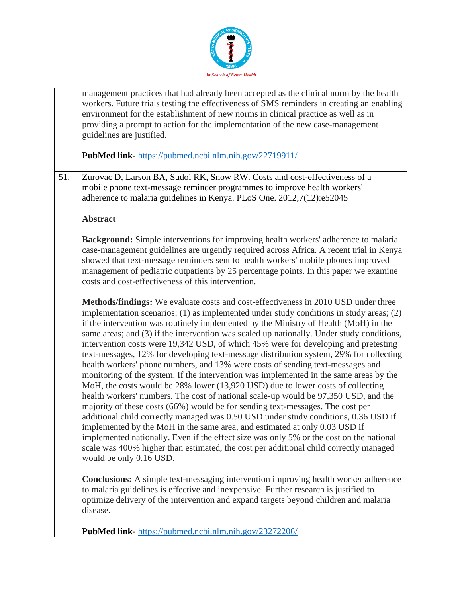

management practices that had already been accepted as the clinical norm by the health workers. Future trials testing the effectiveness of SMS reminders in creating an enabling environment for the establishment of new norms in clinical practice as well as in providing a prompt to action for the implementation of the new case-management guidelines are justified. **PubMed link-** <https://pubmed.ncbi.nlm.nih.gov/22719911/> 51. Zurovac D, Larson BA, Sudoi RK, Snow RW. Costs and cost-effectiveness of a mobile phone text-message reminder programmes to improve health workers' adherence to malaria guidelines in Kenya. PLoS One. 2012;7(12):e52045 **Abstract Background:** Simple interventions for improving health workers' adherence to malaria case-management guidelines are urgently required across Africa. A recent trial in Kenya showed that text-message reminders sent to health workers' mobile phones improved management of pediatric outpatients by 25 percentage points. In this paper we examine costs and cost-effectiveness of this intervention. **Methods/findings:** We evaluate costs and cost-effectiveness in 2010 USD under three implementation scenarios: (1) as implemented under study conditions in study areas; (2) if the intervention was routinely implemented by the Ministry of Health (MoH) in the same areas; and (3) if the intervention was scaled up nationally. Under study conditions, intervention costs were 19,342 USD, of which 45% were for developing and pretesting text-messages, 12% for developing text-message distribution system, 29% for collecting health workers' phone numbers, and 13% were costs of sending text-messages and monitoring of the system. If the intervention was implemented in the same areas by the MoH, the costs would be 28% lower (13,920 USD) due to lower costs of collecting health workers' numbers. The cost of national scale-up would be 97,350 USD, and the majority of these costs (66%) would be for sending text-messages. The cost per additional child correctly managed was 0.50 USD under study conditions, 0.36 USD if implemented by the MoH in the same area, and estimated at only 0.03 USD if implemented nationally. Even if the effect size was only 5% or the cost on the national scale was 400% higher than estimated, the cost per additional child correctly managed would be only 0.16 USD. **Conclusions:** A simple text-messaging intervention improving health worker adherence to malaria guidelines is effective and inexpensive. Further research is justified to

optimize delivery of the intervention and expand targets beyond children and malaria

**PubMed link**- <https://pubmed.ncbi.nlm.nih.gov/23272206/>

disease.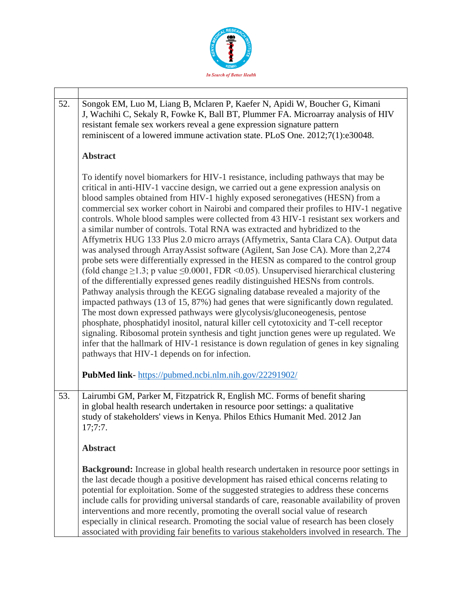

 $\mathsf{r}$ 

T

| 52. | Songok EM, Luo M, Liang B, Mclaren P, Kaefer N, Apidi W, Boucher G, Kimani<br>J, Wachihi C, Sekaly R, Fowke K, Ball BT, Plummer FA. Microarray analysis of HIV<br>resistant female sex workers reveal a gene expression signature pattern<br>reminiscent of a lowered immune activation state. PLoS One. 2012;7(1):e30048.                                                                                                                                                                                                                                                                                                                                                                                                                                                                                                                                                                                                                                                                                                                                                                                                                                                                                                                                                                                                                                                                                                                                                                                                                                                  |
|-----|-----------------------------------------------------------------------------------------------------------------------------------------------------------------------------------------------------------------------------------------------------------------------------------------------------------------------------------------------------------------------------------------------------------------------------------------------------------------------------------------------------------------------------------------------------------------------------------------------------------------------------------------------------------------------------------------------------------------------------------------------------------------------------------------------------------------------------------------------------------------------------------------------------------------------------------------------------------------------------------------------------------------------------------------------------------------------------------------------------------------------------------------------------------------------------------------------------------------------------------------------------------------------------------------------------------------------------------------------------------------------------------------------------------------------------------------------------------------------------------------------------------------------------------------------------------------------------|
|     | <b>Abstract</b>                                                                                                                                                                                                                                                                                                                                                                                                                                                                                                                                                                                                                                                                                                                                                                                                                                                                                                                                                                                                                                                                                                                                                                                                                                                                                                                                                                                                                                                                                                                                                             |
|     | To identify novel biomarkers for HIV-1 resistance, including pathways that may be<br>critical in anti-HIV-1 vaccine design, we carried out a gene expression analysis on<br>blood samples obtained from HIV-1 highly exposed seronegatives (HESN) from a<br>commercial sex worker cohort in Nairobi and compared their profiles to HIV-1 negative<br>controls. Whole blood samples were collected from 43 HIV-1 resistant sex workers and<br>a similar number of controls. Total RNA was extracted and hybridized to the<br>Affymetrix HUG 133 Plus 2.0 micro arrays (Affymetrix, Santa Clara CA). Output data<br>was analysed through ArrayAssist software (Agilent, San Jose CA). More than 2,274<br>probe sets were differentially expressed in the HESN as compared to the control group<br>(fold change $\geq$ 1.3; p value $\leq$ 0.0001, FDR <0.05). Unsupervised hierarchical clustering<br>of the differentially expressed genes readily distinguished HESNs from controls.<br>Pathway analysis through the KEGG signaling database revealed a majority of the<br>impacted pathways (13 of 15, 87%) had genes that were significantly down regulated.<br>The most down expressed pathways were glycolysis/gluconeogenesis, pentose<br>phosphate, phosphatidyl inositol, natural killer cell cytotoxicity and T-cell receptor<br>signaling. Ribosomal protein synthesis and tight junction genes were up regulated. We<br>infer that the hallmark of HIV-1 resistance is down regulation of genes in key signaling<br>pathways that HIV-1 depends on for infection. |
|     | PubMed link-https://pubmed.ncbi.nlm.nih.gov/22291902/                                                                                                                                                                                                                                                                                                                                                                                                                                                                                                                                                                                                                                                                                                                                                                                                                                                                                                                                                                                                                                                                                                                                                                                                                                                                                                                                                                                                                                                                                                                       |
| 53. | Lairumbi GM, Parker M, Fitzpatrick R, English MC. Forms of benefit sharing<br>in global health research undertaken in resource poor settings: a qualitative<br>study of stakeholders' views in Kenya. Philos Ethics Humanit Med. 2012 Jan<br>$17;7:7$ .                                                                                                                                                                                                                                                                                                                                                                                                                                                                                                                                                                                                                                                                                                                                                                                                                                                                                                                                                                                                                                                                                                                                                                                                                                                                                                                     |
|     | <b>Abstract</b>                                                                                                                                                                                                                                                                                                                                                                                                                                                                                                                                                                                                                                                                                                                                                                                                                                                                                                                                                                                                                                                                                                                                                                                                                                                                                                                                                                                                                                                                                                                                                             |
|     | Background: Increase in global health research undertaken in resource poor settings in<br>the last decade though a positive development has raised ethical concerns relating to<br>potential for exploitation. Some of the suggested strategies to address these concerns<br>include calls for providing universal standards of care, reasonable availability of proven<br>interventions and more recently, promoting the overall social value of research<br>especially in clinical research. Promoting the social value of research has been closely<br>associated with providing fair benefits to various stakeholders involved in research. The                                                                                                                                                                                                                                                                                                                                                                                                                                                                                                                                                                                                                                                                                                                                                                                                                                                                                                                         |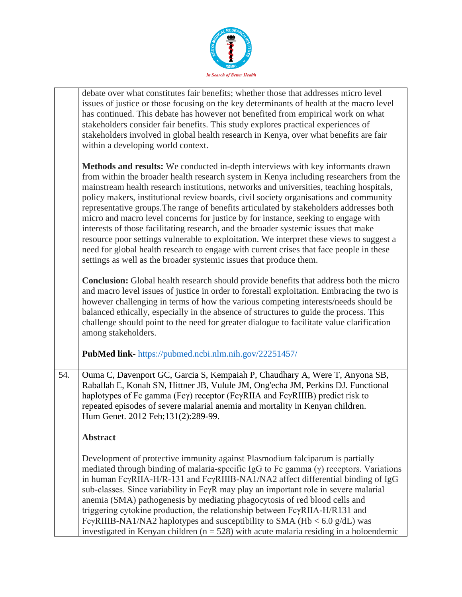

|     | debate over what constitutes fair benefits; whether those that addresses micro level<br>issues of justice or those focusing on the key determinants of health at the macro level<br>has continued. This debate has however not benefited from empirical work on what<br>stakeholders consider fair benefits. This study explores practical experiences of<br>stakeholders involved in global health research in Kenya, over what benefits are fair<br>within a developing world context.                                                                                                                                                                                                                                                                                                                                                                                                           |
|-----|----------------------------------------------------------------------------------------------------------------------------------------------------------------------------------------------------------------------------------------------------------------------------------------------------------------------------------------------------------------------------------------------------------------------------------------------------------------------------------------------------------------------------------------------------------------------------------------------------------------------------------------------------------------------------------------------------------------------------------------------------------------------------------------------------------------------------------------------------------------------------------------------------|
|     | Methods and results: We conducted in-depth interviews with key informants drawn<br>from within the broader health research system in Kenya including researchers from the<br>mainstream health research institutions, networks and universities, teaching hospitals,<br>policy makers, institutional review boards, civil society organisations and community<br>representative groups. The range of benefits articulated by stakeholders addresses both<br>micro and macro level concerns for justice by for instance, seeking to engage with<br>interests of those facilitating research, and the broader systemic issues that make<br>resource poor settings vulnerable to exploitation. We interpret these views to suggest a<br>need for global health research to engage with current crises that face people in these<br>settings as well as the broader systemic issues that produce them. |
|     | <b>Conclusion:</b> Global health research should provide benefits that address both the micro<br>and macro level issues of justice in order to forestall exploitation. Embracing the two is<br>however challenging in terms of how the various competing interests/needs should be<br>balanced ethically, especially in the absence of structures to guide the process. This<br>challenge should point to the need for greater dialogue to facilitate value clarification<br>among stakeholders.                                                                                                                                                                                                                                                                                                                                                                                                   |
|     | PubMed link-https://pubmed.ncbi.nlm.nih.gov/22251457/                                                                                                                                                                                                                                                                                                                                                                                                                                                                                                                                                                                                                                                                                                                                                                                                                                              |
| 54. | Ouma C, Davenport GC, Garcia S, Kempaiah P, Chaudhary A, Were T, Anyona SB,<br>Raballah E, Konah SN, Hittner JB, Vulule JM, Ong'echa JM, Perkins DJ. Functional<br>haplotypes of Fc gamma (Fcγ) receptor (FcγRIIA and FcγRIIIB) predict risk to<br>repeated episodes of severe malarial anemia and mortality in Kenyan children.<br>Hum Genet. 2012 Feb;131(2):289-99.                                                                                                                                                                                                                                                                                                                                                                                                                                                                                                                             |
|     | <b>Abstract</b>                                                                                                                                                                                                                                                                                                                                                                                                                                                                                                                                                                                                                                                                                                                                                                                                                                                                                    |
|     | Development of protective immunity against Plasmodium falciparum is partially<br>mediated through binding of malaria-specific IgG to Fc gamma $(\gamma)$ receptors. Variations<br>in human FcyRIIA-H/R-131 and FcyRIIIB-NA1/NA2 affect differential binding of IgG<br>sub-classes. Since variability in FcyR may play an important role in severe malarial<br>anemia (SMA) pathogenesis by mediating phagocytosis of red blood cells and<br>triggering cytokine production, the relationship between FcyRIIA-H/R131 and<br>Fc $\gamma$ RIIIB-NA1/NA2 haplotypes and susceptibility to SMA (Hb < 6.0 g/dL) was<br>investigated in Kenyan children ( $n = 528$ ) with acute malaria residing in a holoendemic                                                                                                                                                                                        |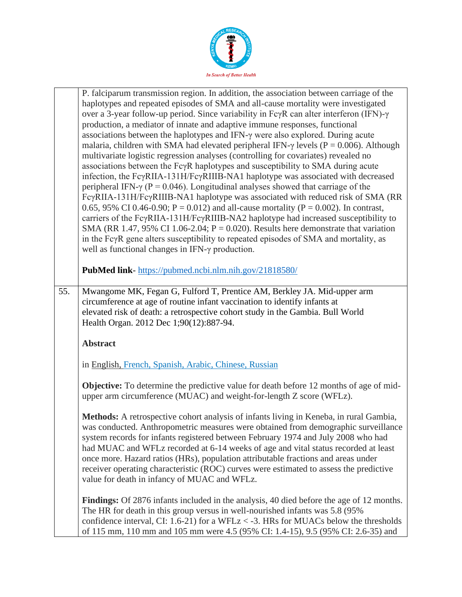

|     | P. falciparum transmission region. In addition, the association between carriage of the<br>haplotypes and repeated episodes of SMA and all-cause mortality were investigated<br>over a 3-year follow-up period. Since variability in Fc $\gamma$ R can alter interferon (IFN)- $\gamma$<br>production, a mediator of innate and adaptive immune responses, functional<br>associations between the haplotypes and IFN- $\gamma$ were also explored. During acute<br>malaria, children with SMA had elevated peripheral IFN- $\gamma$ levels (P = 0.006). Although<br>multivariate logistic regression analyses (controlling for covariates) revealed no<br>associations between the FcyR haplotypes and susceptibility to SMA during acute<br>infection, the FcyRIIA-131H/FcyRIIIB-NA1 haplotype was associated with decreased<br>peripheral IFN- $\gamma$ (P = 0.046). Longitudinal analyses showed that carriage of the<br>FcyRIIA-131H/FcyRIIIB-NA1 haplotype was associated with reduced risk of SMA (RR<br>0.65, 95% CI 0.46-0.90; P = 0.012) and all-cause mortality (P = 0.002). In contrast,<br>carriers of the FcyRIIA-131H/FcyRIIIB-NA2 haplotype had increased susceptibility to<br>SMA (RR 1.47, 95% CI 1.06-2.04; $P = 0.020$ ). Results here demonstrate that variation<br>in the FcyR gene alters susceptibility to repeated episodes of SMA and mortality, as |
|-----|------------------------------------------------------------------------------------------------------------------------------------------------------------------------------------------------------------------------------------------------------------------------------------------------------------------------------------------------------------------------------------------------------------------------------------------------------------------------------------------------------------------------------------------------------------------------------------------------------------------------------------------------------------------------------------------------------------------------------------------------------------------------------------------------------------------------------------------------------------------------------------------------------------------------------------------------------------------------------------------------------------------------------------------------------------------------------------------------------------------------------------------------------------------------------------------------------------------------------------------------------------------------------------------------------------------------------------------------------------------------------|
|     | well as functional changes in IFN- $\gamma$ production.<br>PubMed link-https://pubmed.ncbi.nlm.nih.gov/21818580/                                                                                                                                                                                                                                                                                                                                                                                                                                                                                                                                                                                                                                                                                                                                                                                                                                                                                                                                                                                                                                                                                                                                                                                                                                                             |
| 55. | Mwangome MK, Fegan G, Fulford T, Prentice AM, Berkley JA. Mid-upper arm<br>circumference at age of routine infant vaccination to identify infants at<br>elevated risk of death: a retrospective cohort study in the Gambia. Bull World<br>Health Organ. 2012 Dec 1;90(12):887-94.                                                                                                                                                                                                                                                                                                                                                                                                                                                                                                                                                                                                                                                                                                                                                                                                                                                                                                                                                                                                                                                                                            |
|     | <b>Abstract</b>                                                                                                                                                                                                                                                                                                                                                                                                                                                                                                                                                                                                                                                                                                                                                                                                                                                                                                                                                                                                                                                                                                                                                                                                                                                                                                                                                              |
|     | in English, French, Spanish, Arabic, Chinese, Russian                                                                                                                                                                                                                                                                                                                                                                                                                                                                                                                                                                                                                                                                                                                                                                                                                                                                                                                                                                                                                                                                                                                                                                                                                                                                                                                        |
|     | <b>Objective:</b> To determine the predictive value for death before 12 months of age of mid-<br>upper arm circumference (MUAC) and weight-for-length Z score (WFLz).                                                                                                                                                                                                                                                                                                                                                                                                                                                                                                                                                                                                                                                                                                                                                                                                                                                                                                                                                                                                                                                                                                                                                                                                        |
|     | Methods: A retrospective cohort analysis of infants living in Keneba, in rural Gambia,<br>was conducted. Anthropometric measures were obtained from demographic surveillance<br>system records for infants registered between February 1974 and July 2008 who had<br>had MUAC and WFLz recorded at 6-14 weeks of age and vital status recorded at least<br>once more. Hazard ratios (HRs), population attributable fractions and areas under<br>receiver operating characteristic (ROC) curves were estimated to assess the predictive<br>value for death in infancy of MUAC and WFLz.                                                                                                                                                                                                                                                                                                                                                                                                                                                                                                                                                                                                                                                                                                                                                                                       |
|     | <b>Findings:</b> Of 2876 infants included in the analysis, 40 died before the age of 12 months.<br>The HR for death in this group versus in well-nourished infants was 5.8 (95%<br>confidence interval, CI: 1.6-21) for a WFL $z < -3$ . HRs for MUACs below the thresholds<br>of 115 mm, 110 mm and 105 mm were 4.5 (95% CI: 1.4-15), 9.5 (95% CI: 2.6-35) and                                                                                                                                                                                                                                                                                                                                                                                                                                                                                                                                                                                                                                                                                                                                                                                                                                                                                                                                                                                                              |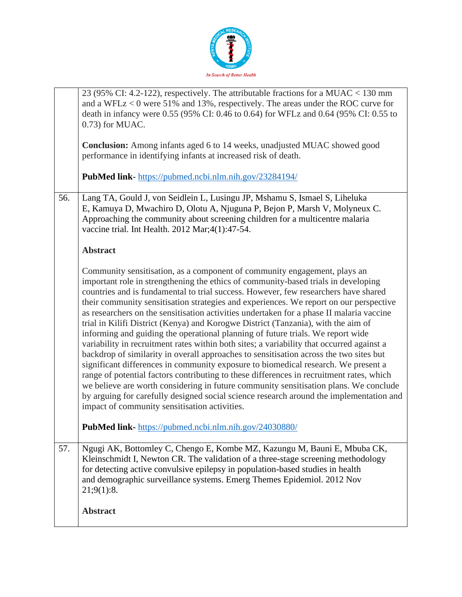

|     | 23 (95% CI: 4.2-122), respectively. The attributable fractions for a MUAC < 130 mm<br>and a WFL $z$ < 0 were 51% and 13%, respectively. The areas under the ROC curve for<br>death in infancy were 0.55 (95% CI: 0.46 to 0.64) for WFLz and 0.64 (95% CI: 0.55 to<br>0.73) for MUAC.<br>Conclusion: Among infants aged 6 to 14 weeks, unadjusted MUAC showed good                                                                                                                                                                                                                                                                                                                                                                                                                                                                                                                                                                                                                                                                                                                                                                                                                                                                  |
|-----|------------------------------------------------------------------------------------------------------------------------------------------------------------------------------------------------------------------------------------------------------------------------------------------------------------------------------------------------------------------------------------------------------------------------------------------------------------------------------------------------------------------------------------------------------------------------------------------------------------------------------------------------------------------------------------------------------------------------------------------------------------------------------------------------------------------------------------------------------------------------------------------------------------------------------------------------------------------------------------------------------------------------------------------------------------------------------------------------------------------------------------------------------------------------------------------------------------------------------------|
|     | performance in identifying infants at increased risk of death.                                                                                                                                                                                                                                                                                                                                                                                                                                                                                                                                                                                                                                                                                                                                                                                                                                                                                                                                                                                                                                                                                                                                                                     |
|     | PubMed link-https://pubmed.ncbi.nlm.nih.gov/23284194/                                                                                                                                                                                                                                                                                                                                                                                                                                                                                                                                                                                                                                                                                                                                                                                                                                                                                                                                                                                                                                                                                                                                                                              |
| 56. | Lang TA, Gould J, von Seidlein L, Lusingu JP, Mshamu S, Ismael S, Liheluka<br>E, Kamuya D, Mwachiro D, Olotu A, Njuguna P, Bejon P, Marsh V, Molyneux C.<br>Approaching the community about screening children for a multicentre malaria<br>vaccine trial. Int Health. 2012 Mar;4(1):47-54.                                                                                                                                                                                                                                                                                                                                                                                                                                                                                                                                                                                                                                                                                                                                                                                                                                                                                                                                        |
|     | <b>Abstract</b>                                                                                                                                                                                                                                                                                                                                                                                                                                                                                                                                                                                                                                                                                                                                                                                                                                                                                                                                                                                                                                                                                                                                                                                                                    |
|     | Community sensitisation, as a component of community engagement, plays an<br>important role in strengthening the ethics of community-based trials in developing<br>countries and is fundamental to trial success. However, few researchers have shared<br>their community sensitisation strategies and experiences. We report on our perspective<br>as researchers on the sensitisation activities undertaken for a phase II malaria vaccine<br>trial in Kilifi District (Kenya) and Korogwe District (Tanzania), with the aim of<br>informing and guiding the operational planning of future trials. We report wide<br>variability in recruitment rates within both sites; a variability that occurred against a<br>backdrop of similarity in overall approaches to sensitisation across the two sites but<br>significant differences in community exposure to biomedical research. We present a<br>range of potential factors contributing to these differences in recruitment rates, which<br>we believe are worth considering in future community sensitisation plans. We conclude<br>by arguing for carefully designed social science research around the implementation and<br>impact of community sensitisation activities. |
|     | PubMed link-https://pubmed.ncbi.nlm.nih.gov/24030880/                                                                                                                                                                                                                                                                                                                                                                                                                                                                                                                                                                                                                                                                                                                                                                                                                                                                                                                                                                                                                                                                                                                                                                              |
| 57. | Ngugi AK, Bottomley C, Chengo E, Kombe MZ, Kazungu M, Bauni E, Mbuba CK,<br>Kleinschmidt I, Newton CR. The validation of a three-stage screening methodology<br>for detecting active convulsive epilepsy in population-based studies in health<br>and demographic surveillance systems. Emerg Themes Epidemiol. 2012 Nov<br>21;9(1):8.                                                                                                                                                                                                                                                                                                                                                                                                                                                                                                                                                                                                                                                                                                                                                                                                                                                                                             |
|     | <b>Abstract</b>                                                                                                                                                                                                                                                                                                                                                                                                                                                                                                                                                                                                                                                                                                                                                                                                                                                                                                                                                                                                                                                                                                                                                                                                                    |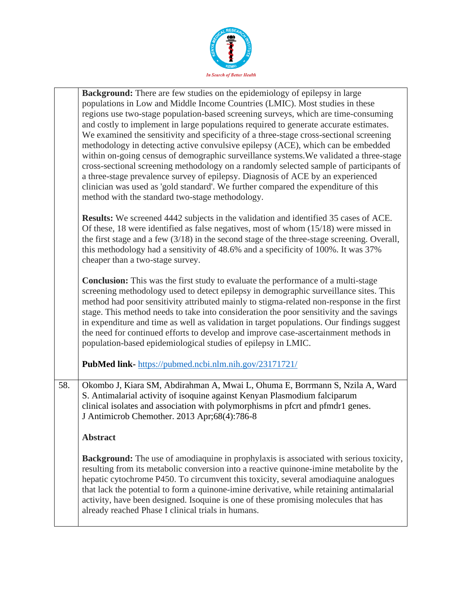

|     | <b>Background:</b> There are few studies on the epidemiology of epilepsy in large<br>populations in Low and Middle Income Countries (LMIC). Most studies in these<br>regions use two-stage population-based screening surveys, which are time-consuming<br>and costly to implement in large populations required to generate accurate estimates.<br>We examined the sensitivity and specificity of a three-stage cross-sectional screening<br>methodology in detecting active convulsive epilepsy (ACE), which can be embedded<br>within on-going census of demographic surveillance systems. We validated a three-stage<br>cross-sectional screening methodology on a randomly selected sample of participants of<br>a three-stage prevalence survey of epilepsy. Diagnosis of ACE by an experienced |
|-----|-------------------------------------------------------------------------------------------------------------------------------------------------------------------------------------------------------------------------------------------------------------------------------------------------------------------------------------------------------------------------------------------------------------------------------------------------------------------------------------------------------------------------------------------------------------------------------------------------------------------------------------------------------------------------------------------------------------------------------------------------------------------------------------------------------|
|     | clinician was used as 'gold standard'. We further compared the expenditure of this<br>method with the standard two-stage methodology.                                                                                                                                                                                                                                                                                                                                                                                                                                                                                                                                                                                                                                                                 |
|     | <b>Results:</b> We screened 4442 subjects in the validation and identified 35 cases of ACE.<br>Of these, 18 were identified as false negatives, most of whom (15/18) were missed in<br>the first stage and a few $(3/18)$ in the second stage of the three-stage screening. Overall,<br>this methodology had a sensitivity of 48.6% and a specificity of 100%. It was 37%<br>cheaper than a two-stage survey.                                                                                                                                                                                                                                                                                                                                                                                         |
|     | <b>Conclusion:</b> This was the first study to evaluate the performance of a multi-stage<br>screening methodology used to detect epilepsy in demographic surveillance sites. This<br>method had poor sensitivity attributed mainly to stigma-related non-response in the first<br>stage. This method needs to take into consideration the poor sensitivity and the savings<br>in expenditure and time as well as validation in target populations. Our findings suggest<br>the need for continued efforts to develop and improve case-ascertainment methods in<br>population-based epidemiological studies of epilepsy in LMIC.                                                                                                                                                                       |
|     | PubMed link- https://pubmed.ncbi.nlm.nih.gov/23171721/                                                                                                                                                                                                                                                                                                                                                                                                                                                                                                                                                                                                                                                                                                                                                |
| 58. | Okombo J, Kiara SM, Abdirahman A, Mwai L, Ohuma E, Borrmann S, Nzila A, Ward<br>S. Antimalarial activity of isoquine against Kenyan Plasmodium falciparum<br>clinical isolates and association with polymorphisms in pfcrt and pfmdr1 genes.<br>J Antimicrob Chemother. 2013 Apr;68(4):786-8                                                                                                                                                                                                                                                                                                                                                                                                                                                                                                          |
|     | <b>Abstract</b>                                                                                                                                                                                                                                                                                                                                                                                                                                                                                                                                                                                                                                                                                                                                                                                       |
|     | <b>Background:</b> The use of amodiaquine in prophylaxis is associated with serious toxicity,<br>resulting from its metabolic conversion into a reactive quinone-imine metabolite by the<br>hepatic cytochrome P450. To circumvent this toxicity, several amodiaquine analogues<br>that lack the potential to form a quinone-imine derivative, while retaining antimalarial<br>activity, have been designed. Isoquine is one of these promising molecules that has<br>already reached Phase I clinical trials in humans.                                                                                                                                                                                                                                                                              |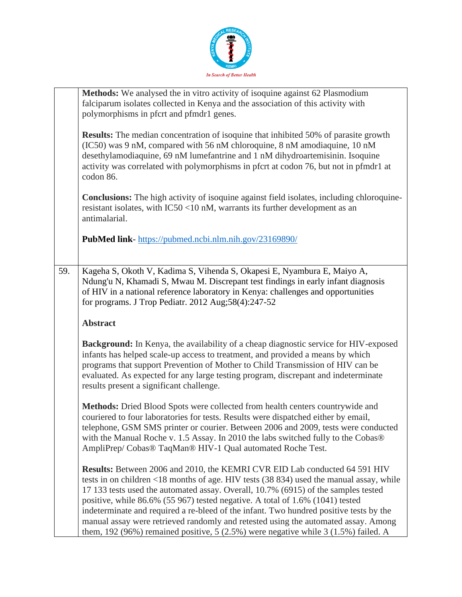

|     | Methods: We analysed the in vitro activity of isoquine against 62 Plasmodium                                                                                                                                                                                                                                                                                                                      |
|-----|---------------------------------------------------------------------------------------------------------------------------------------------------------------------------------------------------------------------------------------------------------------------------------------------------------------------------------------------------------------------------------------------------|
|     | falciparum isolates collected in Kenya and the association of this activity with                                                                                                                                                                                                                                                                                                                  |
|     | polymorphisms in pfcrt and pfmdr1 genes.                                                                                                                                                                                                                                                                                                                                                          |
|     | <b>Results:</b> The median concentration of isoquine that inhibited 50% of parasite growth<br>(IC50) was 9 nM, compared with 56 nM chloroquine, 8 nM amodiaquine, 10 nM<br>desethylamodiaquine, 69 nM lumefantrine and 1 nM dihydroartemisinin. Isoquine<br>activity was correlated with polymorphisms in pfcrt at codon 76, but not in pfmdr1 at<br>codon 86.                                    |
|     | Conclusions: The high activity of isoquine against field isolates, including chloroquine-<br>resistant isolates, with $IC50 < 10$ nM, warrants its further development as an<br>antimalarial.                                                                                                                                                                                                     |
|     | PubMed link-https://pubmed.ncbi.nlm.nih.gov/23169890/                                                                                                                                                                                                                                                                                                                                             |
| 59. | Kageha S, Okoth V, Kadima S, Vihenda S, Okapesi E, Nyambura E, Maiyo A,                                                                                                                                                                                                                                                                                                                           |
|     | Ndung'u N, Khamadi S, Mwau M. Discrepant test findings in early infant diagnosis                                                                                                                                                                                                                                                                                                                  |
|     | of HIV in a national reference laboratory in Kenya: challenges and opportunities                                                                                                                                                                                                                                                                                                                  |
|     | for programs. J Trop Pediatr. 2012 Aug; 58(4): 247-52                                                                                                                                                                                                                                                                                                                                             |
|     | <b>Abstract</b>                                                                                                                                                                                                                                                                                                                                                                                   |
|     | <b>Background:</b> In Kenya, the availability of a cheap diagnostic service for HIV-exposed<br>infants has helped scale-up access to treatment, and provided a means by which<br>programs that support Prevention of Mother to Child Transmission of HIV can be<br>evaluated. As expected for any large testing program, discrepant and indeterminate<br>results present a significant challenge. |
|     | Methods: Dried Blood Spots were collected from health centers countrywide and                                                                                                                                                                                                                                                                                                                     |
|     | couriered to four laboratories for tests. Results were dispatched either by email,<br>telephone, GSM SMS printer or courier. Between 2006 and 2009, tests were conducted<br>with the Manual Roche v. 1.5 Assay. In 2010 the labs switched fully to the Cobas®<br>AmpliPrep/ Cobas® TaqMan® HIV-1 Qual automated Roche Test.                                                                       |
|     | Results: Between 2006 and 2010, the KEMRI CVR EID Lab conducted 64 591 HIV                                                                                                                                                                                                                                                                                                                        |
|     | tests in on children <18 months of age. HIV tests (38 834) used the manual assay, while                                                                                                                                                                                                                                                                                                           |
|     | 17 133 tests used the automated assay. Overall, 10.7% (6915) of the samples tested                                                                                                                                                                                                                                                                                                                |
|     | positive, while 86.6% (55 967) tested negative. A total of 1.6% (1041) tested                                                                                                                                                                                                                                                                                                                     |
|     | indeterminate and required a re-bleed of the infant. Two hundred positive tests by the                                                                                                                                                                                                                                                                                                            |
|     | manual assay were retrieved randomly and retested using the automated assay. Among                                                                                                                                                                                                                                                                                                                |
|     | them, 192 (96%) remained positive, $5(2.5\%)$ were negative while 3 (1.5%) failed. A                                                                                                                                                                                                                                                                                                              |